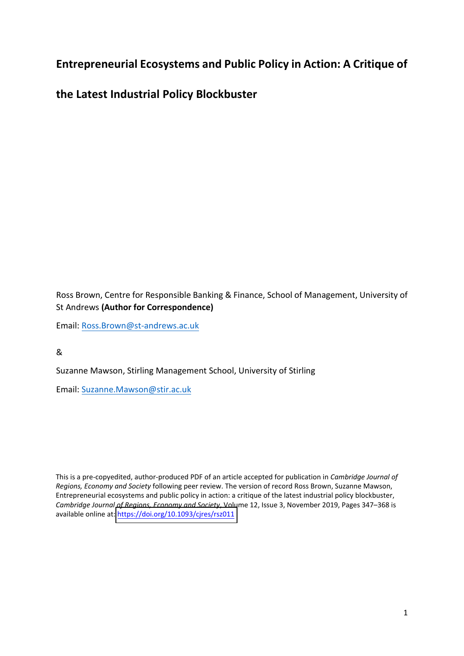# **Entrepreneurial Ecosystems and Public Policy in Action: A Critique of**

**the Latest Industrial Policy Blockbuster** 

Ross Brown, Centre for Responsible Banking & Finance, School of Management, University of St Andrews **(Author for Correspondence)** 

Email: [Ross.Brown@st-andrews.ac.uk](mailto:Ross.Brown@st-andrews.ac.uk)

&

Suzanne Mawson, Stirling Management School, University of Stirling

Email: [Suzanne.Mawson@stir.ac.uk](mailto:Suzanne.Mawson@stir.ac.uk)

This is a pre-copyedited, author-produced PDF of an article accepted for publication in *Cambridge Journal of Regions, Economy and Society* following peer review. The version of record Ross Brown, Suzanne Mawson, Entrepreneurial ecosystems and public policy in action: a critique of the latest industrial policy blockbuster, *Cambridge Journal of Regions, Economy and Society*, Volume 12, Issue 3, November 2019, Pages 347–368 is available online at:<https://doi.org/10.1093/cjres/rsz011>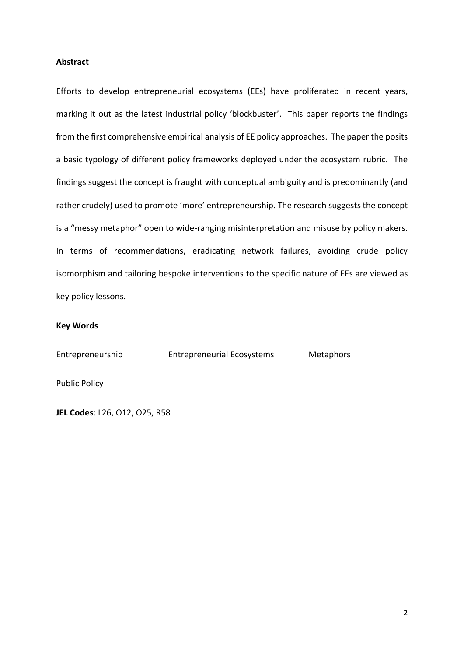## **Abstract**

Efforts to develop entrepreneurial ecosystems (EEs) have proliferated in recent years, marking it out as the latest industrial policy 'blockbuster'. This paper reports the findings from the first comprehensive empirical analysis of EE policy approaches. The paper the posits a basic typology of different policy frameworks deployed under the ecosystem rubric. The findings suggest the concept is fraught with conceptual ambiguity and is predominantly (and rather crudely) used to promote 'more' entrepreneurship. The research suggests the concept is a "messy metaphor" open to wide-ranging misinterpretation and misuse by policy makers. In terms of recommendations, eradicating network failures, avoiding crude policy isomorphism and tailoring bespoke interventions to the specific nature of EEs are viewed as key policy lessons.

## **Key Words**

Entrepreneurship Entrepreneurial Ecosystems Metaphors

Public Policy

**JEL Codes**: L26, O12, O25, R58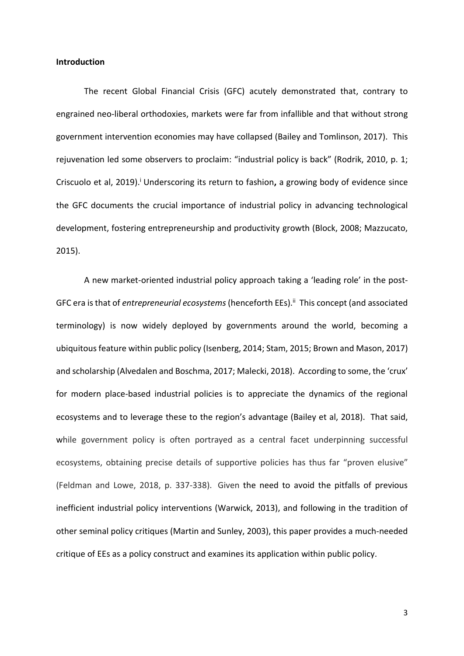#### **Introduction**

The recent Global Financial Crisis (GFC) acutely demonstrated that, contrary to engrained neo-liberal orthodoxies, markets were far from infallible and that without strong government intervention economies may have collapsed (Bailey and Tomlinson, 2017). This rejuvenation led some observers to proclaim: "industrial policy is back" (Rodrik, 2010, p. 1; Criscuolo et al, 2019). <sup>i</sup> Underscoring its return to fashion**,** a growing body of evidence since the GFC documents the crucial importance of industrial policy in advancing technological development, fostering entrepreneurship and productivity growth (Block, 2008; Mazzucato, 2015).

A new market-oriented industrial policy approach taking a 'leading role' in the post-GFC era is that of *entrepreneurial ecosystems* (henceforth EEs).<sup>ii</sup> This concept (and associated terminology) is now widely deployed by governments around the world, becoming a ubiquitous feature within public policy (Isenberg, 2014; Stam, 2015; Brown and Mason, 2017) and scholarship (Alvedalen and Boschma, 2017; Malecki, 2018). According to some, the 'crux' for modern place-based industrial policies is to appreciate the dynamics of the regional ecosystems and to leverage these to the region's advantage (Bailey et al, 2018). That said, while government policy is often portrayed as a central facet underpinning successful ecosystems, obtaining precise details of supportive policies has thus far "proven elusive" (Feldman and Lowe, 2018, p. 337-338). Given the need to avoid the pitfalls of previous inefficient industrial policy interventions (Warwick, 2013), and following in the tradition of other seminal policy critiques (Martin and Sunley, 2003), this paper provides a much-needed critique of EEs as a policy construct and examines its application within public policy.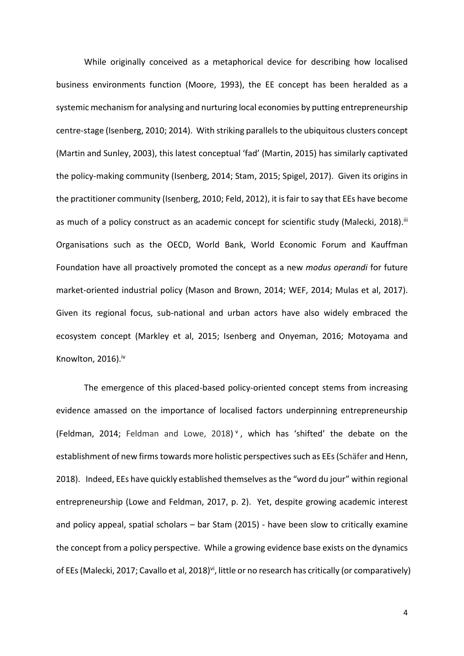While originally conceived as a metaphorical device for describing how localised business environments function (Moore, 1993), the EE concept has been heralded as a systemic mechanism for analysing and nurturing local economies by putting entrepreneurship centre-stage (Isenberg, 2010; 2014). With striking parallels to the ubiquitous clusters concept (Martin and Sunley, 2003), this latest conceptual 'fad' (Martin, 2015) has similarly captivated the policy-making community (Isenberg, 2014; Stam, 2015; Spigel, 2017). Given its origins in the practitioner community (Isenberg, 2010; Feld, 2012), it is fair to say that EEs have become as much of a policy construct as an academic concept for scientific study (Malecki, 2018).<sup>ii</sup> Organisations such as the OECD, World Bank, World Economic Forum and Kauffman Foundation have all proactively promoted the concept as a new *modus operandi* for future market-oriented industrial policy (Mason and Brown, 2014; WEF, 2014; Mulas et al, 2017). Given its regional focus, sub-national and urban actors have also widely embraced the ecosystem concept (Markley et al, 2015; Isenberg and Onyeman, 2016; Motoyama and Knowlton, 2016). iv

The emergence of this placed-based policy-oriented concept stems from increasing evidence amassed on the importance of localised factors underpinning entrepreneurship (Feldman, 2014; Feldman and Lowe, 2018) v , which has 'shifted' the debate on the establishment of new firms towards more holistic perspectives such as EEs (Schäfer and Henn, 2018). Indeed, EEs have quickly established themselves as the "word du jour" within regional entrepreneurship (Lowe and Feldman, 2017, p. 2). Yet, despite growing academic interest and policy appeal, spatial scholars – bar Stam (2015) - have been slow to critically examine the concept from a policy perspective. While a growing evidence base exists on the dynamics of EEs (Malecki, 2017; Cavallo et al, 2018)<sup>vi</sup>, little or no research has critically (or comparatively)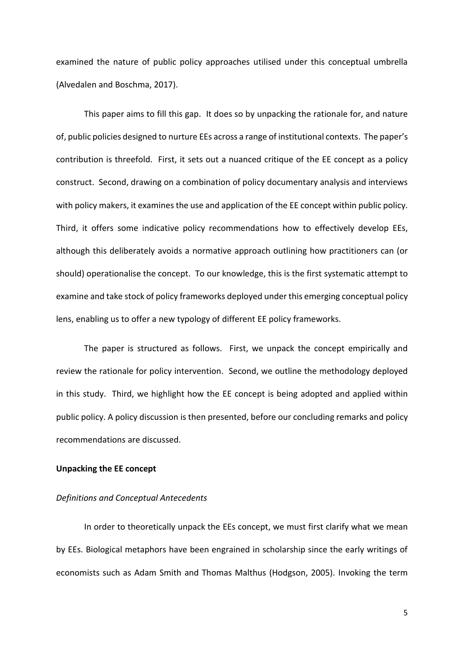examined the nature of public policy approaches utilised under this conceptual umbrella (Alvedalen and Boschma, 2017).

This paper aims to fill this gap. It does so by unpacking the rationale for, and nature of, public policies designed to nurture EEs across a range of institutional contexts. The paper's contribution is threefold. First, it sets out a nuanced critique of the EE concept as a policy construct. Second, drawing on a combination of policy documentary analysis and interviews with policy makers, it examines the use and application of the EE concept within public policy. Third, it offers some indicative policy recommendations how to effectively develop EEs, although this deliberately avoids a normative approach outlining how practitioners can (or should) operationalise the concept. To our knowledge, this is the first systematic attempt to examine and take stock of policy frameworks deployed under this emerging conceptual policy lens, enabling us to offer a new typology of different EE policy frameworks.

The paper is structured as follows. First, we unpack the concept empirically and review the rationale for policy intervention. Second, we outline the methodology deployed in this study. Third, we highlight how the EE concept is being adopted and applied within public policy. A policy discussion is then presented, before our concluding remarks and policy recommendations are discussed.

## **Unpacking the EE concept**

## *Definitions and Conceptual Antecedents*

In order to theoretically unpack the EEs concept, we must first clarify what we mean by EEs. Biological metaphors have been engrained in scholarship since the early writings of economists such as Adam Smith and Thomas Malthus (Hodgson, 2005). Invoking the term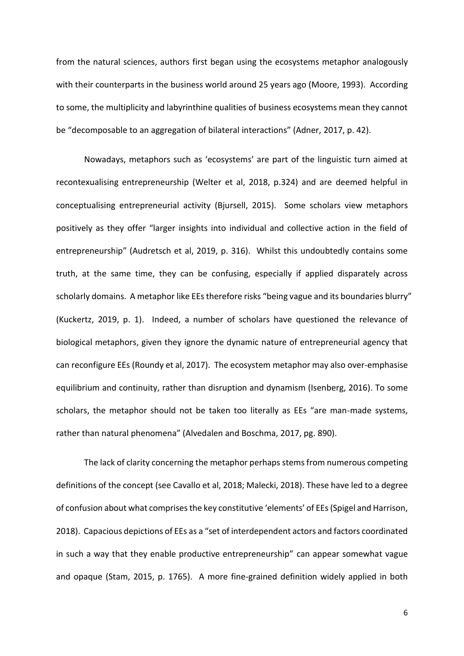from the natural sciences, authors first began using the ecosystems metaphor analogously with their counterparts in the business world around 25 years ago (Moore, 1993). According to some, the multiplicity and labyrinthine qualities of business ecosystems mean they cannot be "decomposable to an aggregation of bilateral interactions" (Adner, 2017, p. 42).

Nowadays, metaphors such as 'ecosystems' are part of the linguistic turn aimed at recontexualising entrepreneurship (Welter et al, 2018, p.324) and are deemed helpful in conceptualising entrepreneurial activity (Bjursell, 2015). Some scholars view metaphors positively as they offer "larger insights into individual and collective action in the field of entrepreneurship" (Audretsch et al, 2019, p. 316). Whilst this undoubtedly contains some truth, at the same time, they can be confusing, especially if applied disparately across scholarly domains. A metaphor like EEs therefore risks "being vague and its boundaries blurry" (Kuckertz, 2019, p. 1). Indeed, a number of scholars have questioned the relevance of biological metaphors, given they ignore the dynamic nature of entrepreneurial agency that can reconfigure EEs (Roundy et al, 2017). The ecosystem metaphor may also over-emphasise equilibrium and continuity, rather than disruption and dynamism (Isenberg, 2016). To some scholars, the metaphor should not be taken too literally as EEs "are man-made systems, rather than natural phenomena" (Alvedalen and Boschma, 2017, pg. 890).

The lack of clarity concerning the metaphor perhaps stems from numerous competing definitions of the concept (see Cavallo et al, 2018; Malecki, 2018). These have led to a degree of confusion about what comprisesthe key constitutive 'elements' of EEs(Spigel and Harrison, 2018). Capacious depictions of EEs as a "set of interdependent actors and factors coordinated in such a way that they enable productive entrepreneurship" can appear somewhat vague and opaque (Stam, 2015, p. 1765). A more fine-grained definition widely applied in both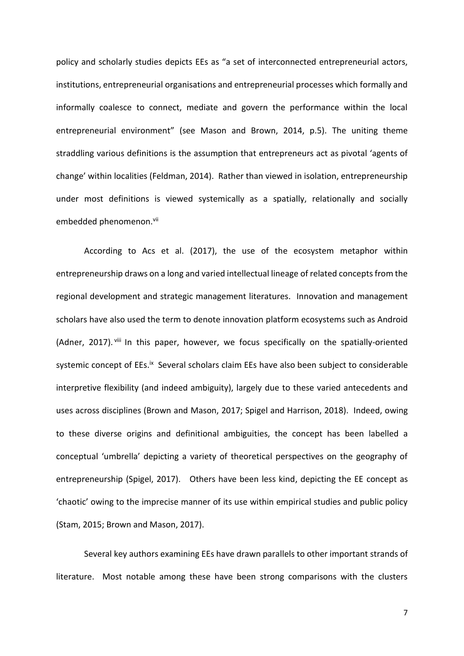policy and scholarly studies depicts EEs as "a set of interconnected entrepreneurial actors, institutions, entrepreneurial organisations and entrepreneurial processes which formally and informally coalesce to connect, mediate and govern the performance within the local entrepreneurial environment" (see Mason and Brown, 2014, p.5). The uniting theme straddling various definitions is the assumption that entrepreneurs act as pivotal 'agents of change' within localities (Feldman, 2014). Rather than viewed in isolation, entrepreneurship under most definitions is viewed systemically as a spatially, relationally and socially embedded phenomenon. vii

According to Acs et al. (2017), the use of the ecosystem metaphor within entrepreneurship draws on a long and varied intellectual lineage of related concepts from the regional development and strategic management literatures. Innovation and management scholars have also used the term to denote innovation platform ecosystems such as Android (Adner, 2017). viii In this paper, however, we focus specifically on the spatially-oriented systemic concept of EEs.<sup>ix</sup> Several scholars claim EEs have also been subject to considerable interpretive flexibility (and indeed ambiguity), largely due to these varied antecedents and uses across disciplines (Brown and Mason, 2017; Spigel and Harrison, 2018). Indeed, owing to these diverse origins and definitional ambiguities, the concept has been labelled a conceptual 'umbrella' depicting a variety of theoretical perspectives on the geography of entrepreneurship (Spigel, 2017). Others have been less kind, depicting the EE concept as 'chaotic' owing to the imprecise manner of its use within empirical studies and public policy (Stam, 2015; Brown and Mason, 2017).

Several key authors examining EEs have drawn parallels to other important strands of literature. Most notable among these have been strong comparisons with the clusters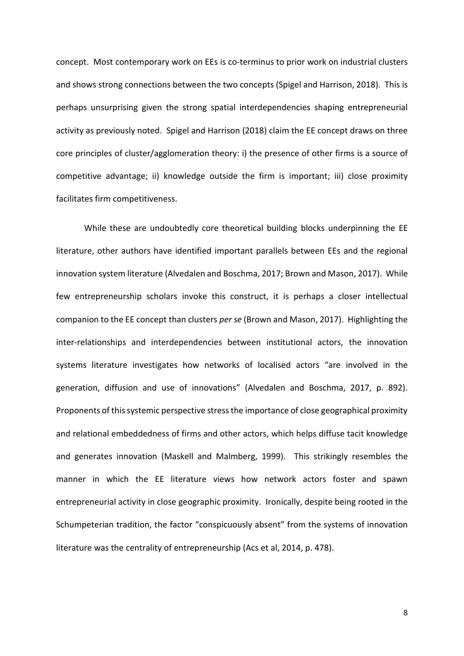concept. Most contemporary work on EEs is co-terminus to prior work on industrial clusters and shows strong connections between the two concepts (Spigel and Harrison, 2018). This is perhaps unsurprising given the strong spatial interdependencies shaping entrepreneurial activity as previously noted. Spigel and Harrison (2018) claim the EE concept draws on three core principles of cluster/agglomeration theory: i) the presence of other firms is a source of competitive advantage; ii) knowledge outside the firm is important; iii) close proximity facilitates firm competitiveness.

While these are undoubtedly core theoretical building blocks underpinning the EE literature, other authors have identified important parallels between EEs and the regional innovation system literature (Alvedalen and Boschma, 2017; Brown and Mason, 2017). While few entrepreneurship scholars invoke this construct, it is perhaps a closer intellectual companion to the EE concept than clusters *per se* (Brown and Mason, 2017). Highlighting the inter-relationships and interdependencies between institutional actors, the innovation systems literature investigates how networks of localised actors "are involved in the generation, diffusion and use of innovations" (Alvedalen and Boschma, 2017, p. 892). Proponents of this systemic perspective stress the importance of close geographical proximity and relational embeddedness of firms and other actors, which helps diffuse tacit knowledge and generates innovation (Maskell and Malmberg, 1999). This strikingly resembles the manner in which the EE literature views how network actors foster and spawn entrepreneurial activity in close geographic proximity. Ironically, despite being rooted in the Schumpeterian tradition, the factor "conspicuously absent" from the systems of innovation literature was the centrality of entrepreneurship (Acs et al, 2014, p. 478).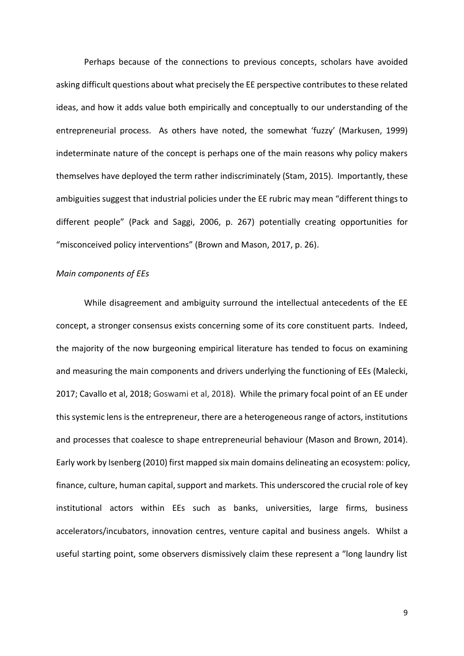Perhaps because of the connections to previous concepts, scholars have avoided asking difficult questions about what precisely the EE perspective contributes to these related ideas, and how it adds value both empirically and conceptually to our understanding of the entrepreneurial process. As others have noted, the somewhat 'fuzzy' (Markusen, 1999) indeterminate nature of the concept is perhaps one of the main reasons why policy makers themselves have deployed the term rather indiscriminately (Stam, 2015). Importantly, these ambiguities suggest that industrial policies under the EE rubric may mean "different things to different people" (Pack and Saggi, 2006, p. 267) potentially creating opportunities for "misconceived policy interventions" (Brown and Mason, 2017, p. 26).

## *Main components of EEs*

While disagreement and ambiguity surround the intellectual antecedents of the EE concept, a stronger consensus exists concerning some of its core constituent parts. Indeed, the majority of the now burgeoning empirical literature has tended to focus on examining and measuring the main components and drivers underlying the functioning of EEs (Malecki, 2017; Cavallo et al, 2018; Goswami et al, 2018). While the primary focal point of an EE under this systemic lens is the entrepreneur, there are a heterogeneous range of actors, institutions and processes that coalesce to shape entrepreneurial behaviour (Mason and Brown, 2014). Early work by Isenberg (2010) first mapped six main domains delineating an ecosystem: policy, finance, culture, human capital, support and markets. This underscored the crucial role of key institutional actors within EEs such as banks, universities, large firms, business accelerators/incubators, innovation centres, venture capital and business angels. Whilst a useful starting point, some observers dismissively claim these represent a "long laundry list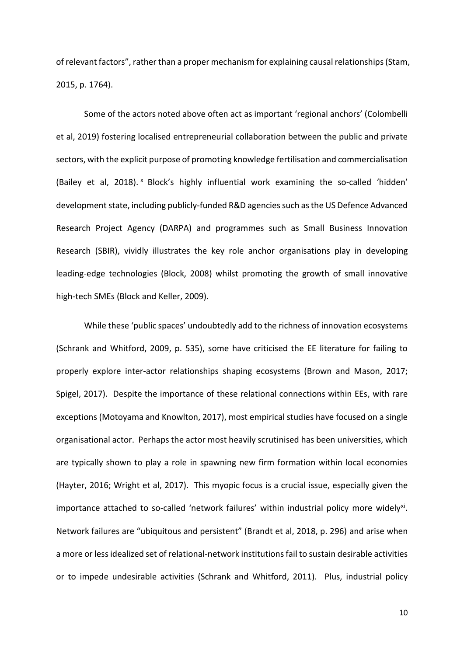of relevant factors", rather than a proper mechanism for explaining causal relationships (Stam, 2015, p. 1764).

Some of the actors noted above often act as important 'regional anchors' (Colombelli et al, 2019) fostering localised entrepreneurial collaboration between the public and private sectors, with the explicit purpose of promoting knowledge fertilisation and commercialisation (Bailey et al, 2018). <sup>x</sup> Block's highly influential work examining the so-called 'hidden' development state, including publicly-funded R&D agenciessuch as the US Defence Advanced Research Project Agency (DARPA) and programmes such as Small Business Innovation Research (SBIR), vividly illustrates the key role anchor organisations play in developing leading-edge technologies (Block, 2008) whilst promoting the growth of small innovative high-tech SMEs (Block and Keller, 2009).

While these 'public spaces' undoubtedly add to the richness of innovation ecosystems (Schrank and Whitford, 2009, p. 535), some have criticised the EE literature for failing to properly explore inter-actor relationships shaping ecosystems (Brown and Mason, 2017; Spigel, 2017). Despite the importance of these relational connections within EEs, with rare exceptions (Motoyama and Knowlton, 2017), most empirical studies have focused on a single organisational actor. Perhaps the actor most heavily scrutinised has been universities, which are typically shown to play a role in spawning new firm formation within local economies (Hayter, 2016; Wright et al, 2017). This myopic focus is a crucial issue, especially given the importance attached to so-called 'network failures' within industrial policy more widely<sup>xi</sup>. Network failures are "ubiquitous and persistent" (Brandt et al, 2018, p. 296) and arise when a more or less idealized set of relational-network institutions fail to sustain desirable activities or to impede undesirable activities (Schrank and Whitford, 2011). Plus, industrial policy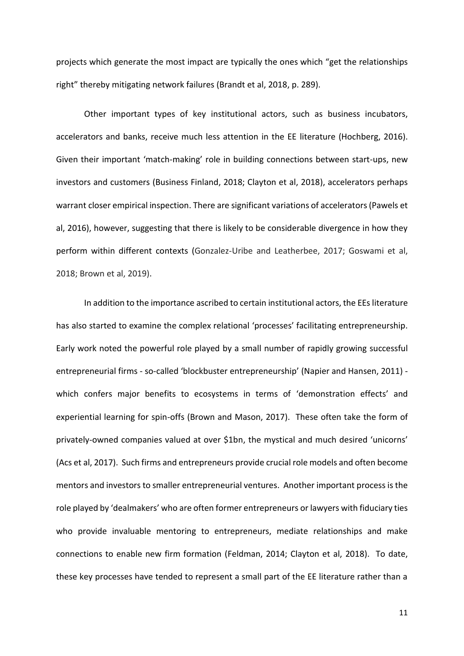projects which generate the most impact are typically the ones which "get the relationships right" thereby mitigating network failures (Brandt et al, 2018, p. 289).

Other important types of key institutional actors, such as business incubators, accelerators and banks, receive much less attention in the EE literature (Hochberg, 2016). Given their important 'match-making' role in building connections between start-ups, new investors and customers (Business Finland, 2018; Clayton et al, 2018), accelerators perhaps warrant closer empirical inspection. There are significant variations of accelerators (Pawels et al, 2016), however, suggesting that there is likely to be considerable divergence in how they perform within different contexts (Gonzalez-Uribe and Leatherbee, 2017; Goswami et al, 2018; Brown et al, 2019).

In addition to the importance ascribed to certain institutional actors, the EEs literature has also started to examine the complex relational 'processes' facilitating entrepreneurship. Early work noted the powerful role played by a small number of rapidly growing successful entrepreneurial firms - so-called 'blockbuster entrepreneurship' (Napier and Hansen, 2011) which confers major benefits to ecosystems in terms of 'demonstration effects' and experiential learning for spin-offs (Brown and Mason, 2017). These often take the form of privately-owned companies valued at over \$1bn, the mystical and much desired 'unicorns' (Acs et al, 2017). Such firms and entrepreneurs provide crucial role models and often become mentors and investors to smaller entrepreneurial ventures. Another important process is the role played by 'dealmakers' who are often former entrepreneurs or lawyers with fiduciary ties who provide invaluable mentoring to entrepreneurs, mediate relationships and make connections to enable new firm formation (Feldman, 2014; Clayton et al, 2018). To date, these key processes have tended to represent a small part of the EE literature rather than a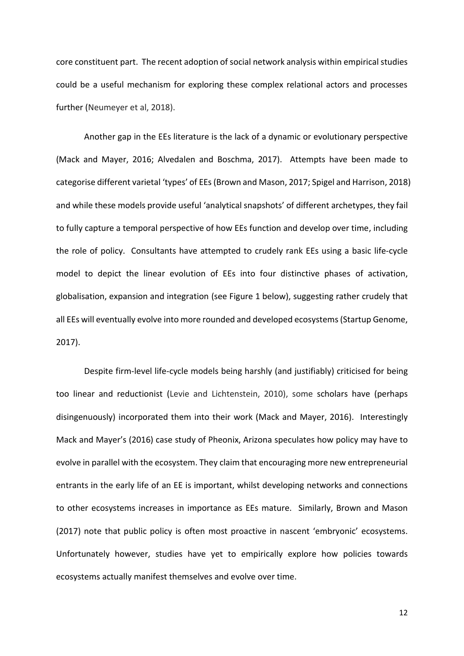core constituent part. The recent adoption of social network analysis within empirical studies could be a useful mechanism for exploring these complex relational actors and processes further (Neumeyer et al, 2018).

Another gap in the EEs literature is the lack of a dynamic or evolutionary perspective (Mack and Mayer, 2016; Alvedalen and Boschma, 2017). Attempts have been made to categorise different varietal 'types' of EEs (Brown and Mason, 2017; Spigel and Harrison, 2018) and while these models provide useful 'analytical snapshots' of different archetypes, they fail to fully capture a temporal perspective of how EEs function and develop over time, including the role of policy. Consultants have attempted to crudely rank EEs using a basic life-cycle model to depict the linear evolution of EEs into four distinctive phases of activation, globalisation, expansion and integration (see Figure 1 below), suggesting rather crudely that all EEs will eventually evolve into more rounded and developed ecosystems(Startup Genome, 2017).

Despite firm-level life-cycle models being harshly (and justifiably) criticised for being too linear and reductionist (Levie and Lichtenstein, 2010), some scholars have (perhaps disingenuously) incorporated them into their work (Mack and Mayer, 2016). Interestingly Mack and Mayer's (2016) case study of Pheonix, Arizona speculates how policy may have to evolve in parallel with the ecosystem. They claim that encouraging more new entrepreneurial entrants in the early life of an EE is important, whilst developing networks and connections to other ecosystems increases in importance as EEs mature. Similarly, Brown and Mason (2017) note that public policy is often most proactive in nascent 'embryonic' ecosystems. Unfortunately however, studies have yet to empirically explore how policies towards ecosystems actually manifest themselves and evolve over time.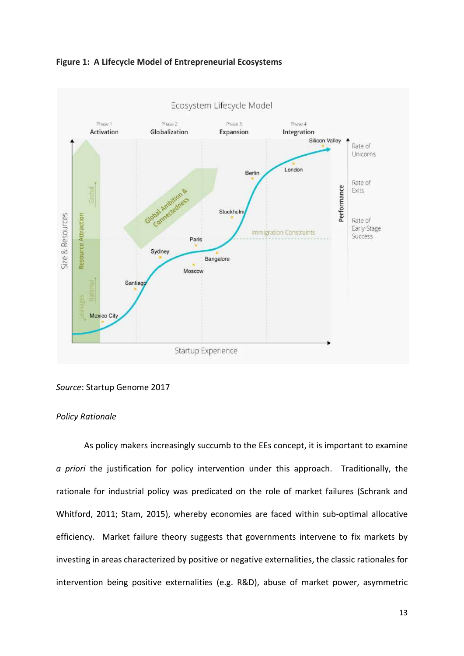



## *Source*: Startup Genome 2017

# *Policy Rationale*

As policy makers increasingly succumb to the EEs concept, it is important to examine *a priori* the justification for policy intervention under this approach. Traditionally, the rationale for industrial policy was predicated on the role of market failures (Schrank and Whitford, 2011; Stam, 2015), whereby economies are faced within sub-optimal allocative efficiency. Market failure theory suggests that governments intervene to fix markets by investing in areas characterized by positive or negative externalities, the classic rationales for intervention being positive externalities (e.g. R&D), abuse of market power, asymmetric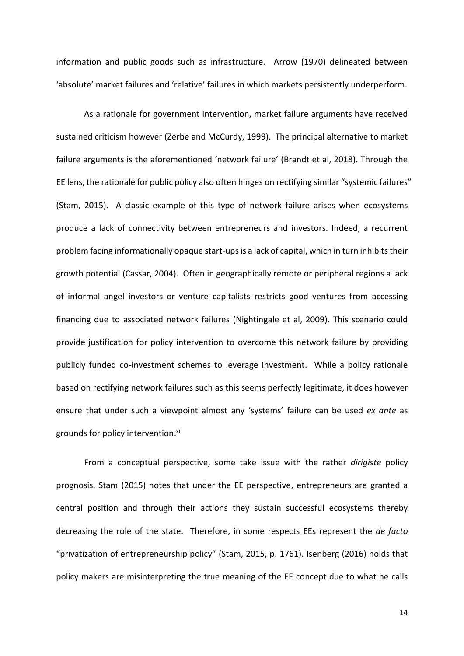information and public goods such as infrastructure. Arrow (1970) delineated between 'absolute' market failures and 'relative' failures in which markets persistently underperform.

As a rationale for government intervention, market failure arguments have received sustained criticism however (Zerbe and McCurdy, 1999). The principal alternative to market failure arguments is the aforementioned 'network failure' (Brandt et al, 2018). Through the EE lens, the rationale for public policy also often hinges on rectifying similar "systemic failures" (Stam, 2015). A classic example of this type of network failure arises when ecosystems produce a lack of connectivity between entrepreneurs and investors. Indeed, a recurrent problem facing informationally opaque start-ups is a lack of capital, which in turn inhibits their growth potential (Cassar, 2004). Often in geographically remote or peripheral regions a lack of informal angel investors or venture capitalists restricts good ventures from accessing financing due to associated network failures (Nightingale et al, 2009). This scenario could provide justification for policy intervention to overcome this network failure by providing publicly funded co-investment schemes to leverage investment. While a policy rationale based on rectifying network failures such as this seems perfectly legitimate, it does however ensure that under such a viewpoint almost any 'systems' failure can be used *ex ante* as grounds for policy intervention.<sup>xii</sup>

From a conceptual perspective, some take issue with the rather *dirigiste* policy prognosis. Stam (2015) notes that under the EE perspective, entrepreneurs are granted a central position and through their actions they sustain successful ecosystems thereby decreasing the role of the state. Therefore, in some respects EEs represent the *de facto* "privatization of entrepreneurship policy" (Stam, 2015, p. 1761). Isenberg (2016) holds that policy makers are misinterpreting the true meaning of the EE concept due to what he calls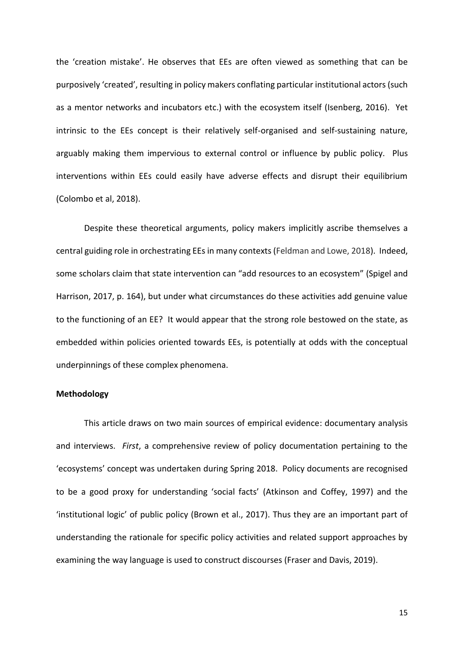the 'creation mistake'. He observes that EEs are often viewed as something that can be purposively 'created', resulting in policy makers conflating particular institutional actors (such as a mentor networks and incubators etc.) with the ecosystem itself (Isenberg, 2016). Yet intrinsic to the EEs concept is their relatively self-organised and self-sustaining nature, arguably making them impervious to external control or influence by public policy. Plus interventions within EEs could easily have adverse effects and disrupt their equilibrium (Colombo et al, 2018).

Despite these theoretical arguments, policy makers implicitly ascribe themselves a central guiding role in orchestrating EEs in many contexts (Feldman and Lowe, 2018). Indeed, some scholars claim that state intervention can "add resources to an ecosystem" (Spigel and Harrison, 2017, p. 164), but under what circumstances do these activities add genuine value to the functioning of an EE? It would appear that the strong role bestowed on the state, as embedded within policies oriented towards EEs, is potentially at odds with the conceptual underpinnings of these complex phenomena.

#### **Methodology**

This article draws on two main sources of empirical evidence: documentary analysis and interviews. *First*, a comprehensive review of policy documentation pertaining to the 'ecosystems' concept was undertaken during Spring 2018. Policy documents are recognised to be a good proxy for understanding 'social facts' (Atkinson and Coffey, 1997) and the 'institutional logic' of public policy (Brown et al., 2017). Thus they are an important part of understanding the rationale for specific policy activities and related support approaches by examining the way language is used to construct discourses (Fraser and Davis, 2019).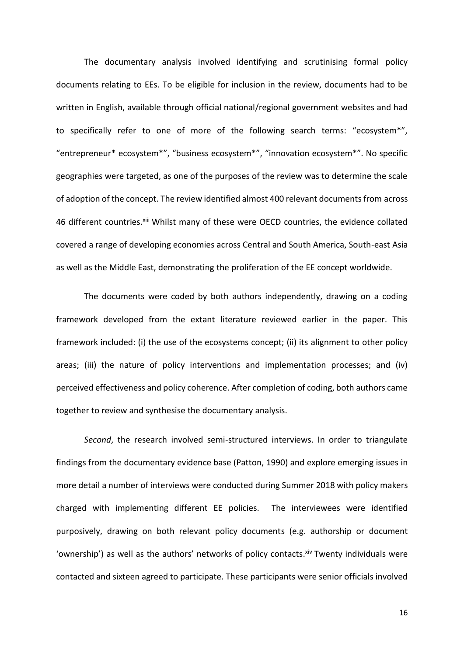The documentary analysis involved identifying and scrutinising formal policy documents relating to EEs. To be eligible for inclusion in the review, documents had to be written in English, available through official national/regional government websites and had to specifically refer to one of more of the following search terms: "ecosystem\*", "entrepreneur\* ecosystem\*", "business ecosystem\*", "innovation ecosystem\*". No specific geographies were targeted, as one of the purposes of the review was to determine the scale of adoption of the concept. The review identified almost 400 relevant documents from across 46 different countries. Xili Whilst many of these were OECD countries, the evidence collated covered a range of developing economies across Central and South America, South-east Asia as well as the Middle East, demonstrating the proliferation of the EE concept worldwide.

The documents were coded by both authors independently, drawing on a coding framework developed from the extant literature reviewed earlier in the paper. This framework included: (i) the use of the ecosystems concept; (ii) its alignment to other policy areas; (iii) the nature of policy interventions and implementation processes; and (iv) perceived effectiveness and policy coherence. After completion of coding, both authors came together to review and synthesise the documentary analysis.

*Second*, the research involved semi-structured interviews. In order to triangulate findings from the documentary evidence base (Patton, 1990) and explore emerging issues in more detail a number of interviews were conducted during Summer 2018 with policy makers charged with implementing different EE policies. The interviewees were identified purposively, drawing on both relevant policy documents (e.g. authorship or document 'ownership') as well as the authors' networks of policy contacts. Xiv Twenty individuals were contacted and sixteen agreed to participate. These participants were senior officials involved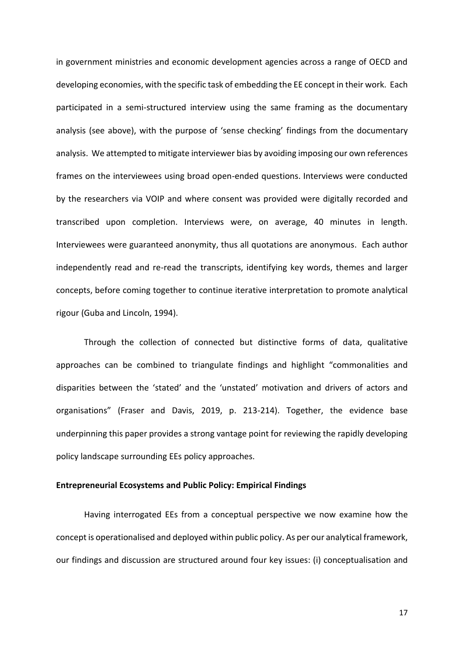in government ministries and economic development agencies across a range of OECD and developing economies, with the specific task of embedding the EE concept in their work. Each participated in a semi-structured interview using the same framing as the documentary analysis (see above), with the purpose of 'sense checking' findings from the documentary analysis. We attempted to mitigate interviewer bias by avoiding imposing our own references frames on the interviewees using broad open-ended questions. Interviews were conducted by the researchers via VOIP and where consent was provided were digitally recorded and transcribed upon completion. Interviews were, on average, 40 minutes in length. Interviewees were guaranteed anonymity, thus all quotations are anonymous. Each author independently read and re-read the transcripts, identifying key words, themes and larger concepts, before coming together to continue iterative interpretation to promote analytical rigour (Guba and Lincoln, 1994).

Through the collection of connected but distinctive forms of data, qualitative approaches can be combined to triangulate findings and highlight "commonalities and disparities between the 'stated' and the 'unstated' motivation and drivers of actors and organisations" (Fraser and Davis, 2019, p. 213-214). Together, the evidence base underpinning this paper provides a strong vantage point for reviewing the rapidly developing policy landscape surrounding EEs policy approaches.

#### **Entrepreneurial Ecosystems and Public Policy: Empirical Findings**

Having interrogated EEs from a conceptual perspective we now examine how the concept is operationalised and deployed within public policy. As per our analytical framework, our findings and discussion are structured around four key issues: (i) conceptualisation and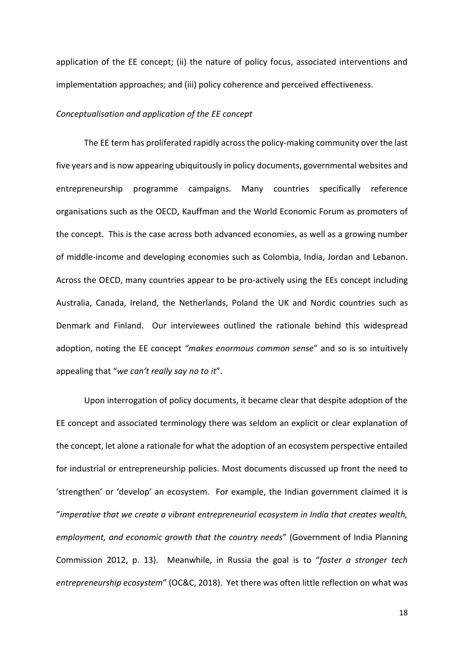application of the EE concept; (ii) the nature of policy focus, associated interventions and implementation approaches; and (iii) policy coherence and perceived effectiveness.

#### *Conceptualisation and application of the EE concept*

The EE term has proliferated rapidly across the policy-making community over the last five years and is now appearing ubiquitously in policy documents, governmental websites and entrepreneurship programme campaigns. Many countries specifically reference organisations such as the OECD, Kauffman and the World Economic Forum as promoters of the concept. This is the case across both advanced economies, as well as a growing number of middle-income and developing economies such as Colombia, India, Jordan and Lebanon. Across the OECD, many countries appear to be pro-actively using the EEs concept including Australia, Canada, Ireland, the Netherlands, Poland the UK and Nordic countries such as Denmark and Finland. Our interviewees outlined the rationale behind this widespread adoption, noting the EE concept *"makes enormous common sense*" and so is so intuitively appealing that "*we can't really say no to it*".

Upon interrogation of policy documents, it became clear that despite adoption of the EE concept and associated terminology there was seldom an explicit or clear explanation of the concept, let alone a rationale for what the adoption of an ecosystem perspective entailed for industrial or entrepreneurship policies. Most documents discussed up front the need to 'strengthen' or 'develop' an ecosystem. For example, the Indian government claimed it is "*imperative that we create a vibrant entrepreneurial ecosystem in India that creates wealth, employment, and economic growth that the country needs*" (Government of India Planning Commission 2012, p. 13). Meanwhile, in Russia the goal is to "*foster a stronger tech entrepreneurship ecosystem*" (OC&C, 2018). Yet there was often little reflection on what was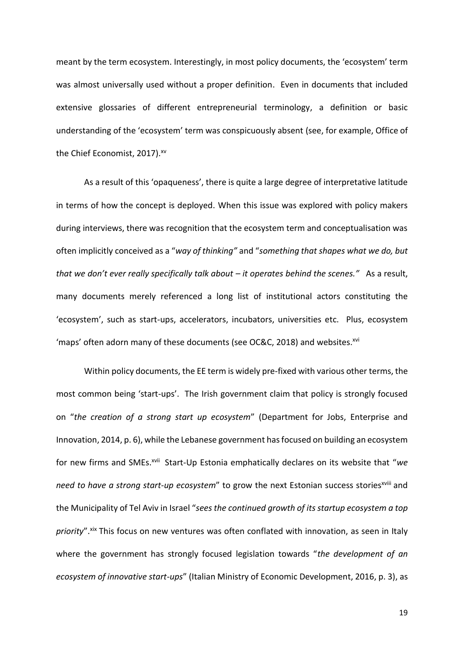meant by the term ecosystem. Interestingly, in most policy documents, the 'ecosystem' term was almost universally used without a proper definition. Even in documents that included extensive glossaries of different entrepreneurial terminology, a definition or basic understanding of the 'ecosystem' term was conspicuously absent (see, for example, Office of the Chief Economist, 2017).<sup>xv</sup>

As a result of this 'opaqueness', there is quite a large degree of interpretative latitude in terms of how the concept is deployed. When this issue was explored with policy makers during interviews, there was recognition that the ecosystem term and conceptualisation was often implicitly conceived as a "*way of thinking"* and "*something that shapes what we do, but that we don't ever really specifically talk about – it operates behind the scenes."* As a result, many documents merely referenced a long list of institutional actors constituting the 'ecosystem', such as start-ups, accelerators, incubators, universities etc. Plus, ecosystem 'maps' often adorn many of these documents (see OC&C, 2018) and websites.xvi

Within policy documents, the EE term is widely pre-fixed with various other terms, the most common being 'start-ups'. The Irish government claim that policy is strongly focused on "*the creation of a strong start up ecosystem*" (Department for Jobs, Enterprise and Innovation, 2014, p. 6), while the Lebanese government has focused on building an ecosystem for new firms and SMEs.<sup>xvii</sup> Start-Up Estonia emphatically declares on its website that "we *need to have a strong start-up ecosystem*" to grow the next Estonian success stories<sup>xviii</sup> and the Municipality of Tel Aviv in Israel "*sees the continued growth of its startup ecosystem a top*  priority".<sup>xix</sup> This focus on new ventures was often conflated with innovation, as seen in Italy where the government has strongly focused legislation towards "*the development of an ecosystem of innovative start-ups*" (Italian Ministry of Economic Development, 2016, p. 3), as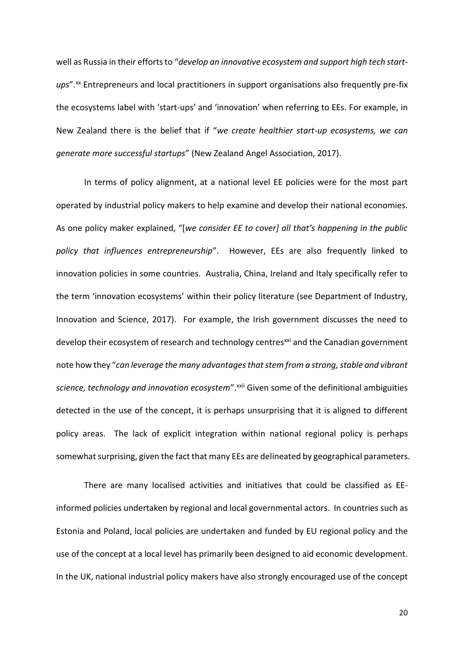well as Russia in their efforts to "*develop an innovative ecosystem and support high tech start*ups".<sup>xx</sup> Entrepreneurs and local practitioners in support organisations also frequently pre-fix the ecosystems label with 'start-ups' and 'innovation' when referring to EEs. For example, in New Zealand there is the belief that if "*we create healthier start-up ecosystems, we can generate more successful startups*" (New Zealand Angel Association, 2017).

In terms of policy alignment, at a national level EE policies were for the most part operated by industrial policy makers to help examine and develop their national economies. As one policy maker explained, "[*we consider EE to cover] all that's happening in the public policy that influences entrepreneurship*". However, EEs are also frequently linked to innovation policies in some countries. Australia, China, Ireland and Italy specifically refer to the term 'innovation ecosystems' within their policy literature (see Department of Industry, Innovation and Science, 2017). For example, the Irish government discusses the need to develop their ecosystem of research and technology centres<sup>xxi</sup> and the Canadian government note how they "*can leverage the many advantages that stem from a strong, stable and vibrant science, technology and innovation ecosystem"*.<sup>xxii</sup> Given some of the definitional ambiguities detected in the use of the concept, it is perhaps unsurprising that it is aligned to different policy areas. The lack of explicit integration within national regional policy is perhaps somewhat surprising, given the fact that many EEs are delineated by geographical parameters.

There are many localised activities and initiatives that could be classified as EEinformed policies undertaken by regional and local governmental actors. In countries such as Estonia and Poland, local policies are undertaken and funded by EU regional policy and the use of the concept at a local level has primarily been designed to aid economic development. In the UK, national industrial policy makers have also strongly encouraged use of the concept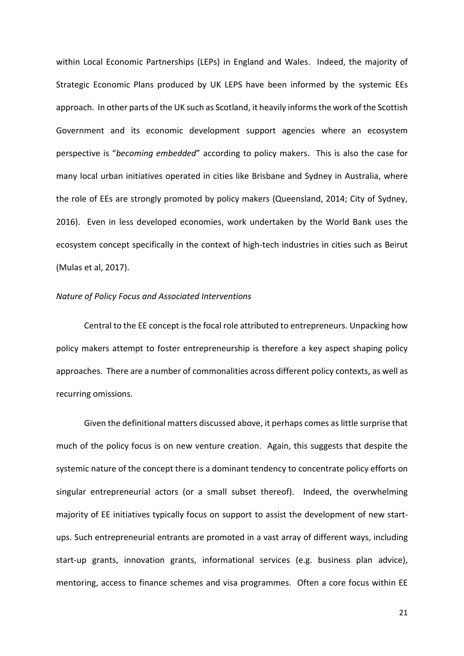within Local Economic Partnerships (LEPs) in England and Wales. Indeed, the majority of Strategic Economic Plans produced by UK LEPS have been informed by the systemic EEs approach. In other parts of the UK such as Scotland, it heavily informsthe work of the Scottish Government and its economic development support agencies where an ecosystem perspective is "*becoming embedded*" according to policy makers. This is also the case for many local urban initiatives operated in cities like Brisbane and Sydney in Australia, where the role of EEs are strongly promoted by policy makers (Queensland, 2014; City of Sydney, 2016). Even in less developed economies, work undertaken by the World Bank uses the ecosystem concept specifically in the context of high-tech industries in cities such as Beirut (Mulas et al, 2017).

## *Nature of Policy Focus and Associated Interventions*

Central to the EE concept is the focal role attributed to entrepreneurs. Unpacking how policy makers attempt to foster entrepreneurship is therefore a key aspect shaping policy approaches. There are a number of commonalities across different policy contexts, as well as recurring omissions.

Given the definitional matters discussed above, it perhaps comes as little surprise that much of the policy focus is on new venture creation. Again, this suggests that despite the systemic nature of the concept there is a dominant tendency to concentrate policy efforts on singular entrepreneurial actors (or a small subset thereof). Indeed, the overwhelming majority of EE initiatives typically focus on support to assist the development of new startups. Such entrepreneurial entrants are promoted in a vast array of different ways, including start-up grants, innovation grants, informational services (e.g. business plan advice), mentoring, access to finance schemes and visa programmes. Often a core focus within EE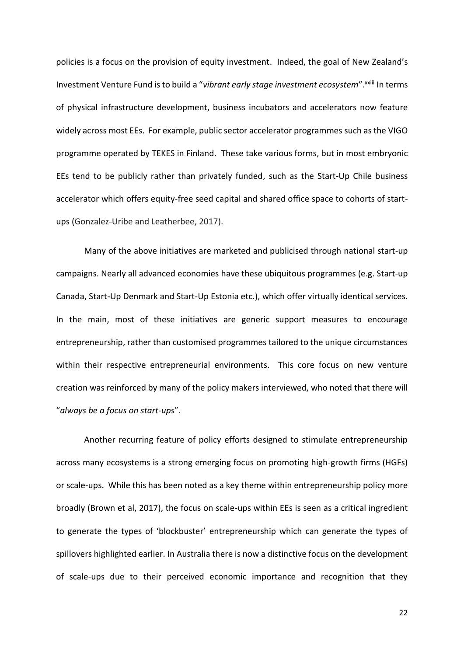policies is a focus on the provision of equity investment. Indeed, the goal of New Zealand's Investment Venture Fund is to build a "vibrant early stage investment ecosystem".<sup>XXIII</sup> In terms of physical infrastructure development, business incubators and accelerators now feature widely across most EEs. For example, public sector accelerator programmes such as the VIGO programme operated by TEKES in Finland. These take various forms, but in most embryonic EEs tend to be publicly rather than privately funded, such as the Start-Up Chile business accelerator which offers equity-free seed capital and shared office space to cohorts of startups (Gonzalez-Uribe and Leatherbee, 2017).

Many of the above initiatives are marketed and publicised through national start-up campaigns. Nearly all advanced economies have these ubiquitous programmes (e.g. Start-up Canada, Start-Up Denmark and Start-Up Estonia etc.), which offer virtually identical services. In the main, most of these initiatives are generic support measures to encourage entrepreneurship, rather than customised programmes tailored to the unique circumstances within their respective entrepreneurial environments. This core focus on new venture creation was reinforced by many of the policy makers interviewed, who noted that there will "*always be a focus on start-ups*".

Another recurring feature of policy efforts designed to stimulate entrepreneurship across many ecosystems is a strong emerging focus on promoting high-growth firms (HGFs) or scale-ups. While this has been noted as a key theme within entrepreneurship policy more broadly (Brown et al, 2017), the focus on scale-ups within EEs is seen as a critical ingredient to generate the types of 'blockbuster' entrepreneurship which can generate the types of spillovers highlighted earlier. In Australia there is now a distinctive focus on the development of scale-ups due to their perceived economic importance and recognition that they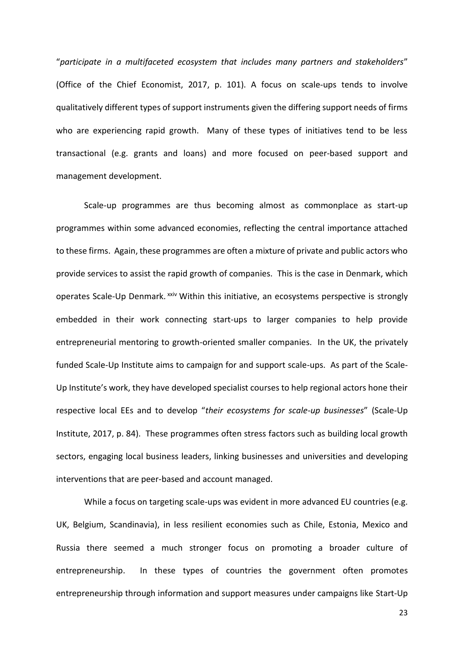"*participate in a multifaceted ecosystem that includes many partners and stakeholders*" (Office of the Chief Economist, 2017, p. 101). A focus on scale-ups tends to involve qualitatively different types of support instruments given the differing support needs of firms who are experiencing rapid growth. Many of these types of initiatives tend to be less transactional (e.g. grants and loans) and more focused on peer-based support and management development.

Scale-up programmes are thus becoming almost as commonplace as start-up programmes within some advanced economies, reflecting the central importance attached to these firms. Again, these programmes are often a mixture of private and public actors who provide services to assist the rapid growth of companies. This is the case in Denmark, which operates Scale-Up Denmark. xxiv Within this initiative, an ecosystems perspective is strongly embedded in their work connecting start-ups to larger companies to help provide entrepreneurial mentoring to growth-oriented smaller companies. In the UK, the privately funded Scale-Up Institute aims to campaign for and support scale-ups. As part of the Scale-Up Institute's work, they have developed specialist courses to help regional actors hone their respective local EEs and to develop "*their ecosystems for scale-up businesses*" (Scale-Up Institute, 2017, p. 84). These programmes often stress factors such as building local growth sectors, engaging local business leaders, linking businesses and universities and developing interventions that are peer-based and account managed.

While a focus on targeting scale-ups was evident in more advanced EU countries (e.g. UK, Belgium, Scandinavia), in less resilient economies such as Chile, Estonia, Mexico and Russia there seemed a much stronger focus on promoting a broader culture of entrepreneurship. In these types of countries the government often promotes entrepreneurship through information and support measures under campaigns like Start-Up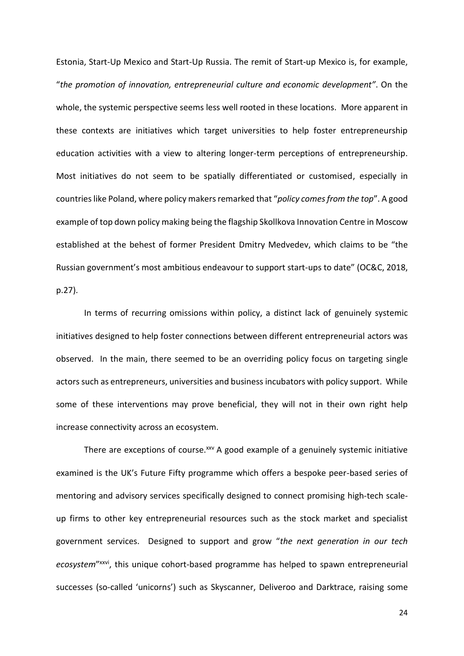Estonia, Start-Up Mexico and Start-Up Russia. The remit of Start-up Mexico is, for example, "*the promotion of innovation, entrepreneurial culture and economic development"*. On the whole, the systemic perspective seems less well rooted in these locations. More apparent in these contexts are initiatives which target universities to help foster entrepreneurship education activities with a view to altering longer-term perceptions of entrepreneurship. Most initiatives do not seem to be spatially differentiated or customised, especially in countries like Poland, where policy makers remarked that "*policy comes from the top*". A good example of top down policy making being the flagship Skollkova Innovation Centre in Moscow established at the behest of former President Dmitry Medvedev, which claims to be "the Russian government's most ambitious endeavour to support start-ups to date" (OC&C, 2018, p.27).

In terms of recurring omissions within policy, a distinct lack of genuinely systemic initiatives designed to help foster connections between different entrepreneurial actors was observed. In the main, there seemed to be an overriding policy focus on targeting single actors such as entrepreneurs, universities and business incubators with policy support. While some of these interventions may prove beneficial, they will not in their own right help increase connectivity across an ecosystem.

There are exceptions of course.<sup>xxv</sup> A good example of a genuinely systemic initiative examined is the UK's Future Fifty programme which offers a bespoke peer-based series of mentoring and advisory services specifically designed to connect promising high-tech scaleup firms to other key entrepreneurial resources such as the stock market and specialist government services. Designed to support and grow "*the next generation in our tech*  ecosystem"<sup>xxvi</sup>, this unique cohort-based programme has helped to spawn entrepreneurial successes (so-called 'unicorns') such as Skyscanner, Deliveroo and Darktrace, raising some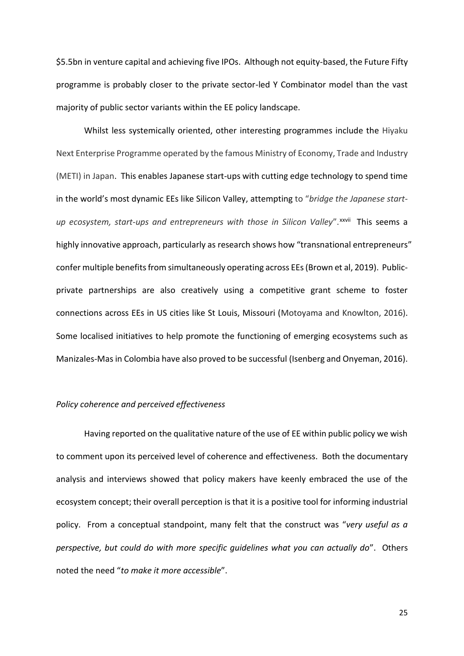\$5.5bn in venture capital and achieving five IPOs. Although not equity-based, the Future Fifty programme is probably closer to the private sector-led Y Combinator model than the vast majority of public sector variants within the EE policy landscape.

Whilst less systemically oriented, other interesting programmes include the Hiyaku Next Enterprise Programme operated by the famous Ministry of Economy, Trade and Industry (METI) in Japan. This enables Japanese start-ups with cutting edge technology to spend time in the world's most dynamic EEs like Silicon Valley, attempting to "*bridge the Japanese start*up ecosystem, start-ups and entrepreneurs with those in Silicon Valley".<sup>xxvii</sup> This seems a highly innovative approach, particularly as research shows how "transnational entrepreneurs" confer multiple benefits from simultaneously operating across EEs (Brown et al, 2019). Publicprivate partnerships are also creatively using a competitive grant scheme to foster connections across EEs in US cities like St Louis, Missouri (Motoyama and Knowlton, 2016). Some localised initiatives to help promote the functioning of emerging ecosystems such as Manizales-Mas in Colombia have also proved to be successful (Isenberg and Onyeman, 2016).

## *Policy coherence and perceived effectiveness*

Having reported on the qualitative nature of the use of EE within public policy we wish to comment upon its perceived level of coherence and effectiveness. Both the documentary analysis and interviews showed that policy makers have keenly embraced the use of the ecosystem concept; their overall perception is that it is a positive tool for informing industrial policy. From a conceptual standpoint, many felt that the construct was "*very useful as a perspective, but could do with more specific guidelines what you can actually do*". Others noted the need "*to make it more accessible*".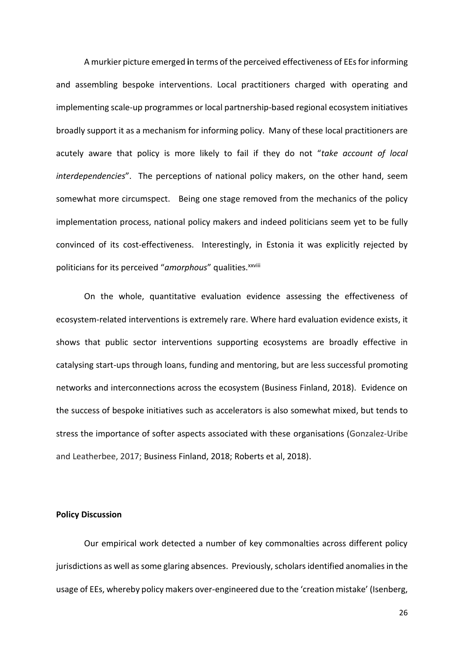A murkier picture emerged **i**n terms of the perceived effectiveness of EEsfor informing and assembling bespoke interventions. Local practitioners charged with operating and implementing scale-up programmes or local partnership-based regional ecosystem initiatives broadly support it as a mechanism for informing policy. Many of these local practitioners are acutely aware that policy is more likely to fail if they do not "*take account of local interdependencies*". The perceptions of national policy makers, on the other hand, seem somewhat more circumspect. Being one stage removed from the mechanics of the policy implementation process, national policy makers and indeed politicians seem yet to be fully convinced of its cost-effectiveness. Interestingly, in Estonia it was explicitly rejected by politicians for its perceived "*amorphous*" qualities. xxviii

On the whole, quantitative evaluation evidence assessing the effectiveness of ecosystem-related interventions is extremely rare. Where hard evaluation evidence exists, it shows that public sector interventions supporting ecosystems are broadly effective in catalysing start-ups through loans, funding and mentoring, but are less successful promoting networks and interconnections across the ecosystem (Business Finland, 2018). Evidence on the success of bespoke initiatives such as accelerators is also somewhat mixed, but tends to stress the importance of softer aspects associated with these organisations (Gonzalez-Uribe and Leatherbee, 2017; Business Finland, 2018; Roberts et al, 2018).

#### **Policy Discussion**

Our empirical work detected a number of key commonalties across different policy jurisdictions as well as some glaring absences. Previously, scholars identified anomalies in the usage of EEs, whereby policy makers over-engineered due to the 'creation mistake' (Isenberg,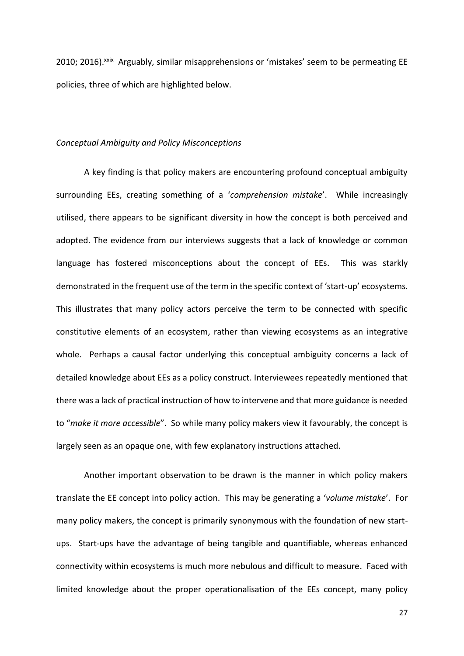2010; 2016). XXIX Arguably, similar misapprehensions or 'mistakes' seem to be permeating EE policies, three of which are highlighted below.

#### *Conceptual Ambiguity and Policy Misconceptions*

A key finding is that policy makers are encountering profound conceptual ambiguity surrounding EEs, creating something of a '*comprehension mistake*'. While increasingly utilised, there appears to be significant diversity in how the concept is both perceived and adopted. The evidence from our interviews suggests that a lack of knowledge or common language has fostered misconceptions about the concept of EEs. This was starkly demonstrated in the frequent use of the term in the specific context of 'start-up' ecosystems. This illustrates that many policy actors perceive the term to be connected with specific constitutive elements of an ecosystem, rather than viewing ecosystems as an integrative whole. Perhaps a causal factor underlying this conceptual ambiguity concerns a lack of detailed knowledge about EEs as a policy construct. Interviewees repeatedly mentioned that there was a lack of practical instruction of how to intervene and that more guidance is needed to "*make it more accessible*". So while many policy makers view it favourably, the concept is largely seen as an opaque one, with few explanatory instructions attached.

Another important observation to be drawn is the manner in which policy makers translate the EE concept into policy action. This may be generating a '*volume mistake*'. For many policy makers, the concept is primarily synonymous with the foundation of new startups. Start-ups have the advantage of being tangible and quantifiable, whereas enhanced connectivity within ecosystems is much more nebulous and difficult to measure. Faced with limited knowledge about the proper operationalisation of the EEs concept, many policy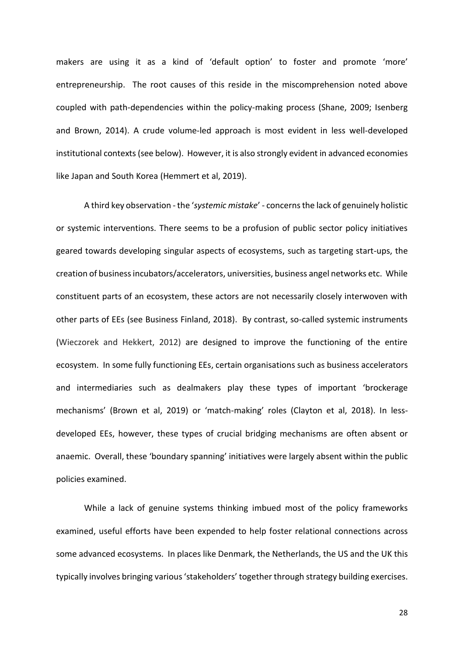makers are using it as a kind of 'default option' to foster and promote 'more' entrepreneurship. The root causes of this reside in the miscomprehension noted above coupled with path-dependencies within the policy-making process (Shane, 2009; Isenberg and Brown, 2014). A crude volume-led approach is most evident in less well-developed institutional contexts (see below). However, it is also strongly evident in advanced economies like Japan and South Korea (Hemmert et al, 2019).

A third key observation -the '*systemic mistake*' - concerns the lack of genuinely holistic or systemic interventions. There seems to be a profusion of public sector policy initiatives geared towards developing singular aspects of ecosystems, such as targeting start-ups, the creation of business incubators/accelerators, universities, business angel networks etc. While constituent parts of an ecosystem, these actors are not necessarily closely interwoven with other parts of EEs (see Business Finland, 2018). By contrast, so-called systemic instruments (Wieczorek and Hekkert, 2012) are designed to improve the functioning of the entire ecosystem. In some fully functioning EEs, certain organisations such as business accelerators and intermediaries such as dealmakers play these types of important 'brockerage mechanisms' (Brown et al, 2019) or 'match-making' roles (Clayton et al, 2018). In lessdeveloped EEs, however, these types of crucial bridging mechanisms are often absent or anaemic. Overall, these 'boundary spanning' initiatives were largely absent within the public policies examined.

While a lack of genuine systems thinking imbued most of the policy frameworks examined, useful efforts have been expended to help foster relational connections across some advanced ecosystems. In places like Denmark, the Netherlands, the US and the UK this typically involves bringing various 'stakeholders' together through strategy building exercises.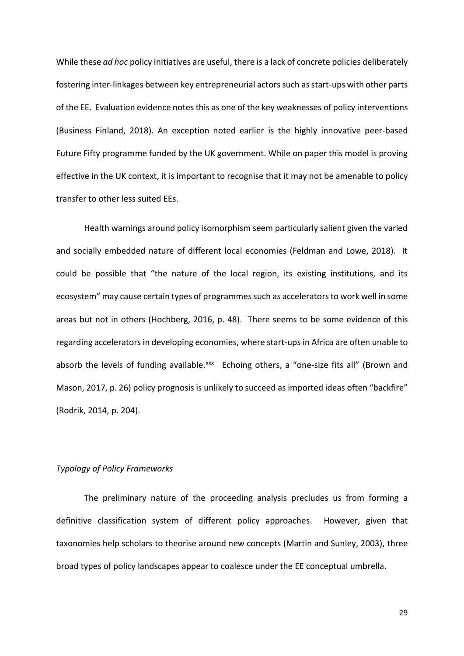While these *ad hoc* policy initiatives are useful, there is a lack of concrete policies deliberately fostering inter-linkages between key entrepreneurial actors such as start-ups with other parts of the EE. Evaluation evidence notes this as one of the key weaknesses of policy interventions (Business Finland, 2018). An exception noted earlier is the highly innovative peer-based Future Fifty programme funded by the UK government. While on paper this model is proving effective in the UK context, it is important to recognise that it may not be amenable to policy transfer to other less suited EEs.

Health warnings around policy isomorphism seem particularly salient given the varied and socially embedded nature of different local economies (Feldman and Lowe, 2018). It could be possible that "the nature of the local region, its existing institutions, and its ecosystem" may cause certain types of programmes such as accelerators to work well in some areas but not in others (Hochberg, 2016, p. 48). There seems to be some evidence of this regarding accelerators in developing economies, where start-ups in Africa are often unable to absorb the levels of funding available.xxx Echoing others, a "one-size fits all" (Brown and Mason, 2017, p. 26) policy prognosis is unlikely to succeed as imported ideas often "backfire" (Rodrik, 2014, p. 204).

# *Typology of Policy Frameworks*

The preliminary nature of the proceeding analysis precludes us from forming a definitive classification system of different policy approaches. However, given that taxonomies help scholars to theorise around new concepts (Martin and Sunley, 2003), three broad types of policy landscapes appear to coalesce under the EE conceptual umbrella.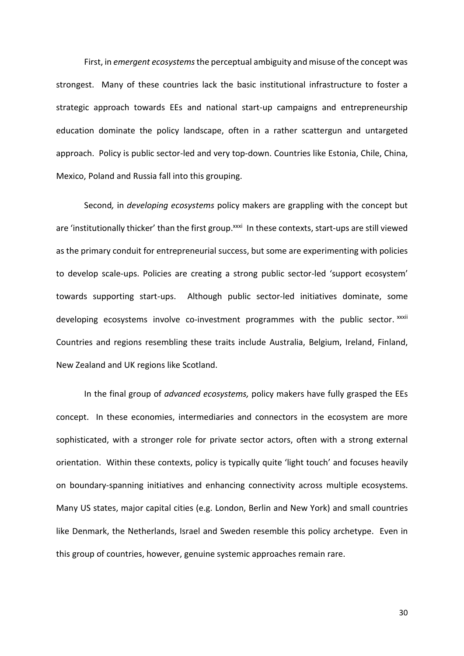First, in *emergent ecosystems*the perceptual ambiguity and misuse of the concept was strongest. Many of these countries lack the basic institutional infrastructure to foster a strategic approach towards EEs and national start-up campaigns and entrepreneurship education dominate the policy landscape, often in a rather scattergun and untargeted approach. Policy is public sector-led and very top-down. Countries like Estonia, Chile, China, Mexico, Poland and Russia fall into this grouping.

Second*,* in *developing ecosystems* policy makers are grappling with the concept but are 'institutionally thicker' than the first group. XXXi In these contexts, start-ups are still viewed as the primary conduit for entrepreneurial success, but some are experimenting with policies to develop scale-ups. Policies are creating a strong public sector-led 'support ecosystem' towards supporting start-ups. Although public sector-led initiatives dominate, some developing ecosystems involve co-investment programmes with the public sector. xxxii Countries and regions resembling these traits include Australia, Belgium, Ireland, Finland, New Zealand and UK regions like Scotland.

In the final group of *advanced ecosystems,* policy makers have fully grasped the EEs concept. In these economies, intermediaries and connectors in the ecosystem are more sophisticated, with a stronger role for private sector actors, often with a strong external orientation. Within these contexts, policy is typically quite 'light touch' and focuses heavily on boundary-spanning initiatives and enhancing connectivity across multiple ecosystems. Many US states, major capital cities (e.g. London, Berlin and New York) and small countries like Denmark, the Netherlands, Israel and Sweden resemble this policy archetype. Even in this group of countries, however, genuine systemic approaches remain rare.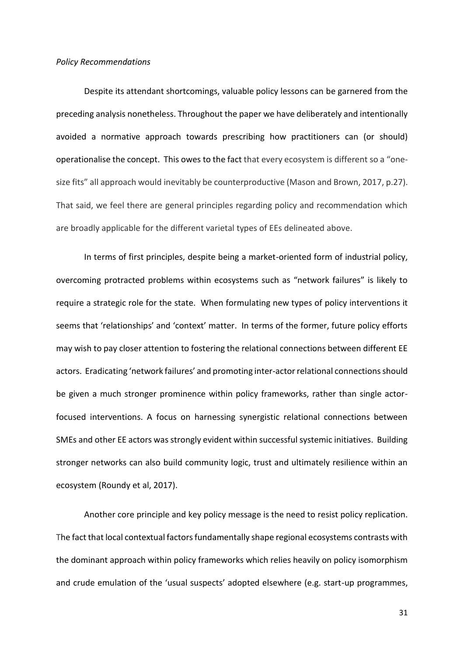#### *Policy Recommendations*

Despite its attendant shortcomings, valuable policy lessons can be garnered from the preceding analysis nonetheless. Throughout the paper we have deliberately and intentionally avoided a normative approach towards prescribing how practitioners can (or should) operationalise the concept. This owes to the fact that every ecosystem is different so a "onesize fits" all approach would inevitably be counterproductive (Mason and Brown, 2017, p.27). That said, we feel there are general principles regarding policy and recommendation which are broadly applicable for the different varietal types of EEs delineated above.

In terms of first principles, despite being a market-oriented form of industrial policy, overcoming protracted problems within ecosystems such as "network failures" is likely to require a strategic role for the state. When formulating new types of policy interventions it seems that 'relationships' and 'context' matter. In terms of the former, future policy efforts may wish to pay closer attention to fostering the relational connections between different EE actors. Eradicating 'network failures' and promoting inter-actor relational connections should be given a much stronger prominence within policy frameworks, rather than single actorfocused interventions. A focus on harnessing synergistic relational connections between SMEs and other EE actors was strongly evident within successful systemic initiatives. Building stronger networks can also build community logic, trust and ultimately resilience within an ecosystem (Roundy et al, 2017).

Another core principle and key policy message is the need to resist policy replication. The fact that local contextual factors fundamentally shape regional ecosystems contrasts with the dominant approach within policy frameworks which relies heavily on policy isomorphism and crude emulation of the 'usual suspects' adopted elsewhere (e.g. start-up programmes,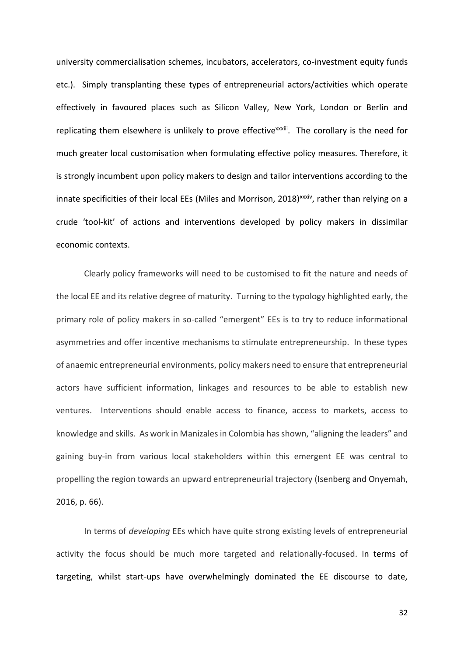university commercialisation schemes, incubators, accelerators, co-investment equity funds etc.). Simply transplanting these types of entrepreneurial actors/activities which operate effectively in favoured places such as Silicon Valley, New York, London or Berlin and replicating them elsewhere is unlikely to prove effective<sup>xxxiii</sup>. The corollary is the need for much greater local customisation when formulating effective policy measures. Therefore, it is strongly incumbent upon policy makers to design and tailor interventions according to the innate specificities of their local EEs (Miles and Morrison, 2018)<sup>xxxiv</sup>, rather than relying on a crude 'tool-kit' of actions and interventions developed by policy makers in dissimilar economic contexts.

Clearly policy frameworks will need to be customised to fit the nature and needs of the local EE and its relative degree of maturity. Turning to the typology highlighted early, the primary role of policy makers in so-called "emergent" EEs is to try to reduce informational asymmetries and offer incentive mechanisms to stimulate entrepreneurship. In these types of anaemic entrepreneurial environments, policy makers need to ensure that entrepreneurial actors have sufficient information, linkages and resources to be able to establish new ventures. Interventions should enable access to finance, access to markets, access to knowledge and skills. As work in Manizales in Colombia has shown, "aligning the leaders" and gaining buy-in from various local stakeholders within this emergent EE was central to propelling the region towards an upward entrepreneurial trajectory (Isenberg and Onyemah, 2016, p. 66).

In terms of *developing* EEs which have quite strong existing levels of entrepreneurial activity the focus should be much more targeted and relationally-focused. In terms of targeting, whilst start-ups have overwhelmingly dominated the EE discourse to date,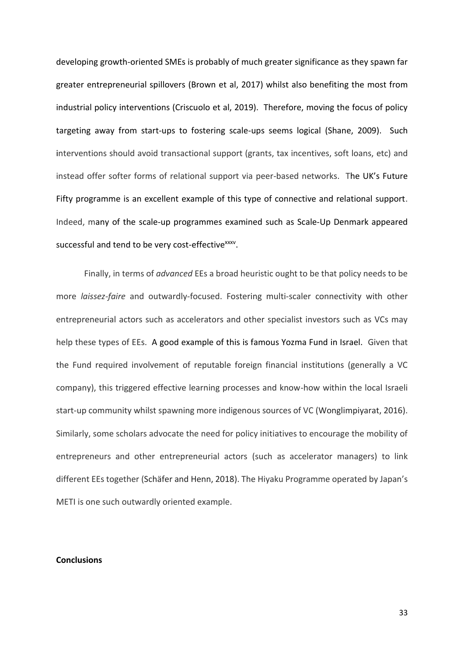developing growth-oriented SMEs is probably of much greater significance as they spawn far greater entrepreneurial spillovers (Brown et al, 2017) whilst also benefiting the most from industrial policy interventions (Criscuolo et al, 2019). Therefore, moving the focus of policy targeting away from start-ups to fostering scale-ups seems logical (Shane, 2009). Such interventions should avoid transactional support (grants, tax incentives, soft loans, etc) and instead offer softer forms of relational support via peer-based networks. The UK's Future Fifty programme is an excellent example of this type of connective and relational support. Indeed, many of the scale-up programmes examined such as Scale-Up Denmark appeared successful and tend to be very cost-effective<sup>xxxv</sup>.

Finally, in terms of *advanced* EEs a broad heuristic ought to be that policy needs to be more *laissez-faire* and outwardly-focused. Fostering multi-scaler connectivity with other entrepreneurial actors such as accelerators and other specialist investors such as VCs may help these types of EEs. A good example of this is famous Yozma Fund in Israel. Given that the Fund required involvement of reputable foreign financial institutions (generally a VC company), this triggered effective learning processes and know-how within the local Israeli start-up community whilst spawning more indigenous sources of VC (Wonglimpiyarat, 2016). Similarly, some scholars advocate the need for policy initiatives to encourage the mobility of entrepreneurs and other entrepreneurial actors (such as accelerator managers) to link different EEs together (Schäfer and Henn, 2018). The Hiyaku Programme operated by Japan's METI is one such outwardly oriented example.

#### **Conclusions**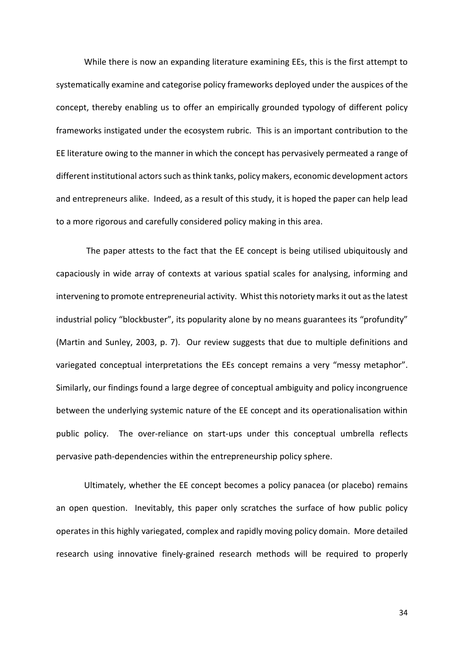While there is now an expanding literature examining EEs, this is the first attempt to systematically examine and categorise policy frameworks deployed under the auspices of the concept, thereby enabling us to offer an empirically grounded typology of different policy frameworks instigated under the ecosystem rubric. This is an important contribution to the EE literature owing to the manner in which the concept has pervasively permeated a range of different institutional actors such asthink tanks, policy makers, economic development actors and entrepreneurs alike. Indeed, as a result of this study, it is hoped the paper can help lead to a more rigorous and carefully considered policy making in this area.

The paper attests to the fact that the EE concept is being utilised ubiquitously and capaciously in wide array of contexts at various spatial scales for analysing, informing and intervening to promote entrepreneurial activity. Whist this notoriety marks it out as the latest industrial policy "blockbuster", its popularity alone by no means guarantees its "profundity" (Martin and Sunley, 2003, p. 7). Our review suggests that due to multiple definitions and variegated conceptual interpretations the EEs concept remains a very "messy metaphor". Similarly, our findings found a large degree of conceptual ambiguity and policy incongruence between the underlying systemic nature of the EE concept and its operationalisation within public policy. The over-reliance on start-ups under this conceptual umbrella reflects pervasive path-dependencies within the entrepreneurship policy sphere.

Ultimately, whether the EE concept becomes a policy panacea (or placebo) remains an open question. Inevitably, this paper only scratches the surface of how public policy operates in this highly variegated, complex and rapidly moving policy domain. More detailed research using innovative finely-grained research methods will be required to properly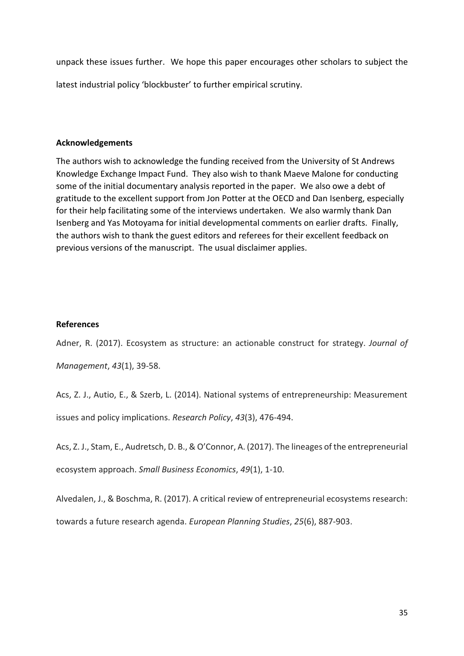unpack these issues further. We hope this paper encourages other scholars to subject the latest industrial policy 'blockbuster' to further empirical scrutiny.

# **Acknowledgements**

The authors wish to acknowledge the funding received from the University of St Andrews Knowledge Exchange Impact Fund. They also wish to thank Maeve Malone for conducting some of the initial documentary analysis reported in the paper. We also owe a debt of gratitude to the excellent support from Jon Potter at the OECD and Dan Isenberg, especially for their help facilitating some of the interviews undertaken. We also warmly thank Dan Isenberg and Yas Motoyama for initial developmental comments on earlier drafts. Finally, the authors wish to thank the guest editors and referees for their excellent feedback on previous versions of the manuscript. The usual disclaimer applies.

# **References**

Adner, R. (2017). Ecosystem as structure: an actionable construct for strategy. *Journal of Management*, *43*(1), 39-58.

Acs, Z. J., Autio, E., & Szerb, L. (2014). National systems of entrepreneurship: Measurement issues and policy implications. *Research Policy*, *43*(3), 476-494.

Acs, Z. J., Stam, E., Audretsch, D. B., & O'Connor, A. (2017). The lineages of the entrepreneurial ecosystem approach. *Small Business Economics*, *49*(1), 1-10.

Alvedalen, J., & Boschma, R. (2017). A critical review of entrepreneurial ecosystems research: towards a future research agenda. *European Planning Studies*, *25*(6), 887-903.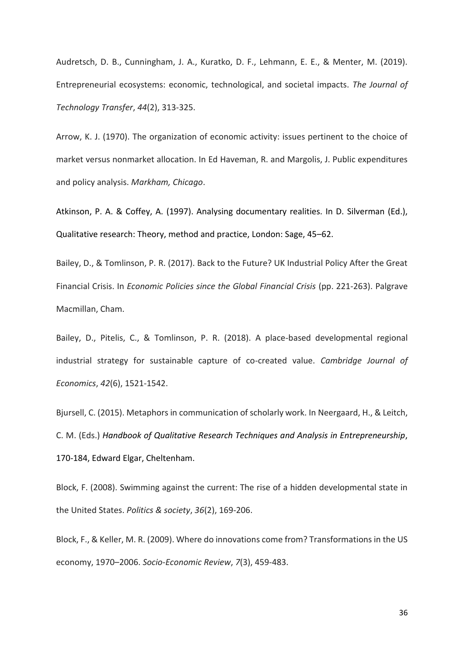Audretsch, D. B., Cunningham, J. A., Kuratko, D. F., Lehmann, E. E., & Menter, M. (2019). Entrepreneurial ecosystems: economic, technological, and societal impacts. *The Journal of Technology Transfer*, *44*(2), 313-325.

Arrow, K. J. (1970). The organization of economic activity: issues pertinent to the choice of market versus nonmarket allocation. In Ed Haveman, R. and Margolis, J. Public expenditures and policy analysis. *Markham, Chicago*.

Atkinson, P. A. & Coffey, A. (1997). Analysing documentary realities. In D. Silverman (Ed.), Qualitative research: Theory, method and practice, London: Sage, 45–62.

Bailey, D., & Tomlinson, P. R. (2017). Back to the Future? UK Industrial Policy After the Great Financial Crisis. In *Economic Policies since the Global Financial Crisis* (pp. 221-263). Palgrave Macmillan, Cham.

Bailey, D., Pitelis, C., & Tomlinson, P. R. (2018). A place-based developmental regional industrial strategy for sustainable capture of co-created value. *Cambridge Journal of Economics*, *42*(6), 1521-1542.

Bjursell, C. (2015). Metaphors in communication of scholarly work. In Neergaard, H., & Leitch, C. M. (Eds.) *Handbook of Qualitative Research Techniques and Analysis in Entrepreneurship*, 170-184, Edward Elgar, Cheltenham.

Block, F. (2008). Swimming against the current: The rise of a hidden developmental state in the United States. *Politics & society*, *36*(2), 169-206.

Block, F., & Keller, M. R. (2009). Where do innovations come from? Transformations in the US economy, 1970–2006. *Socio-Economic Review*, *7*(3), 459-483.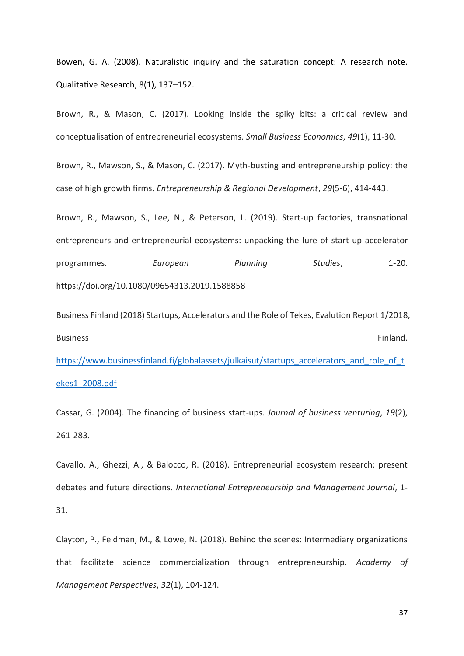Bowen, G. A. (2008). Naturalistic inquiry and the saturation concept: A research note. Qualitative Research, 8(1), 137–152.

Brown, R., & Mason, C. (2017). Looking inside the spiky bits: a critical review and conceptualisation of entrepreneurial ecosystems. *Small Business Economics*, *49*(1), 11-30.

Brown, R., Mawson, S., & Mason, C. (2017). Myth-busting and entrepreneurship policy: the case of high growth firms. *Entrepreneurship & Regional Development*, *29*(5-6), 414-443.

Brown, R., Mawson, S., Lee, N., & Peterson, L. (2019). Start-up factories, transnational entrepreneurs and entrepreneurial ecosystems: unpacking the lure of start-up accelerator programmes. *European Planning Studies*, 1-20. https://doi.org/10.1080/09654313.2019.1588858

Business Finland (2018) Startups, Accelerators and the Role of Tekes, Evalution Report 1/2018, Business **Finland.** [https://www.businessfinland.fi/globalassets/julkaisut/startups\\_accelerators\\_and\\_role\\_of\\_t](https://www.businessfinland.fi/globalassets/julkaisut/startups_accelerators_and_role_of_tekes1_2008.pdf)

# [ekes1\\_2008.pdf](https://www.businessfinland.fi/globalassets/julkaisut/startups_accelerators_and_role_of_tekes1_2008.pdf)

Cassar, G. (2004). The financing of business start-ups. *Journal of business venturing*, *19*(2), 261-283.

Cavallo, A., Ghezzi, A., & Balocco, R. (2018). Entrepreneurial ecosystem research: present debates and future directions. *International Entrepreneurship and Management Journal*, 1- 31.

Clayton, P., Feldman, M., & Lowe, N. (2018). Behind the scenes: Intermediary organizations that facilitate science commercialization through entrepreneurship. *Academy of Management Perspectives*, *32*(1), 104-124.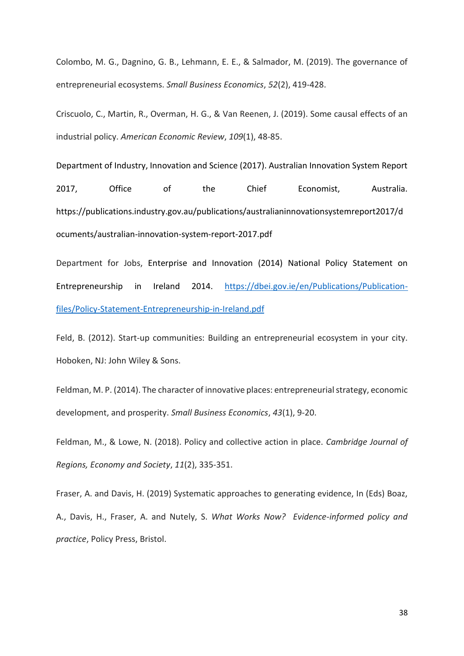Colombo, M. G., Dagnino, G. B., Lehmann, E. E., & Salmador, M. (2019). The governance of entrepreneurial ecosystems. *Small Business Economics*, *52*(2), 419-428.

Criscuolo, C., Martin, R., Overman, H. G., & Van Reenen, J. (2019). Some causal effects of an industrial policy. *American Economic Review*, *109*(1), 48-85.

Department of Industry, Innovation and Science (2017). Australian Innovation System Report 2017, Office of the Chief Economist, Australia. https://publications.industry.gov.au/publications/australianinnovationsystemreport2017/d ocuments/australian-innovation-system-report-2017.pdf

Department for Jobs, Enterprise and Innovation (2014) National Policy Statement on Entrepreneurship in Ireland 2014. [https://dbei.gov.ie/en/Publications/Publication](https://dbei.gov.ie/en/Publications/Publication-files/Policy-Statement-Entrepreneurship-in-Ireland.pdf)[files/Policy-Statement-Entrepreneurship-in-Ireland.pdf](https://dbei.gov.ie/en/Publications/Publication-files/Policy-Statement-Entrepreneurship-in-Ireland.pdf)

Feld, B. (2012). Start-up communities: Building an entrepreneurial ecosystem in your city. Hoboken, NJ: John Wiley & Sons.

Feldman, M. P. (2014). The character of innovative places: entrepreneurial strategy, economic development, and prosperity. *Small Business Economics*, *43*(1), 9-20.

Feldman, M., & Lowe, N. (2018). Policy and collective action in place. *Cambridge Journal of Regions, Economy and Society*, *11*(2), 335-351.

Fraser, A. and Davis, H. (2019) Systematic approaches to generating evidence, In (Eds) Boaz, A., Davis, H., Fraser, A. and Nutely, S. *What Works Now? Evidence-informed policy and practice*, Policy Press, Bristol.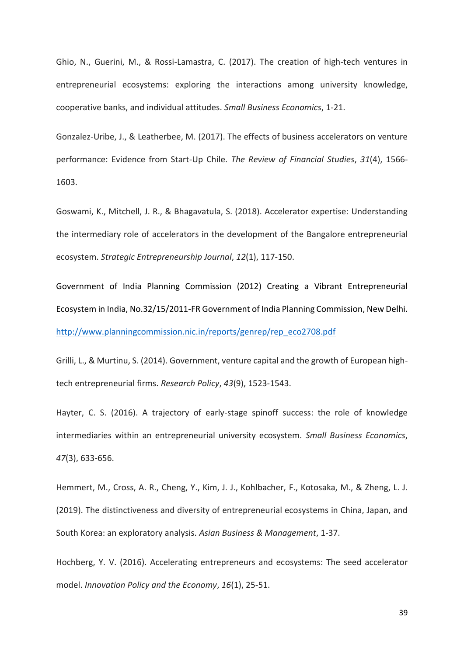Ghio, N., Guerini, M., & Rossi-Lamastra, C. (2017). The creation of high-tech ventures in entrepreneurial ecosystems: exploring the interactions among university knowledge, cooperative banks, and individual attitudes. *Small Business Economics*, 1-21.

Gonzalez-Uribe, J., & Leatherbee, M. (2017). The effects of business accelerators on venture performance: Evidence from Start-Up Chile. *The Review of Financial Studies*, *31*(4), 1566- 1603.

Goswami, K., Mitchell, J. R., & Bhagavatula, S. (2018). Accelerator expertise: Understanding the intermediary role of accelerators in the development of the Bangalore entrepreneurial ecosystem. *Strategic Entrepreneurship Journal*, *12*(1), 117-150.

Government of India Planning Commission (2012) Creating a Vibrant Entrepreneurial Ecosystem in India, No.32/15/2011-FR Government of India Planning Commission, New Delhi. [http://www.planningcommission.nic.in/reports/genrep/rep\\_eco2708.pdf](http://www.planningcommission.nic.in/reports/genrep/rep_eco2708.pdf)

Grilli, L., & Murtinu, S. (2014). Government, venture capital and the growth of European hightech entrepreneurial firms. *Research Policy*, *43*(9), 1523-1543.

Hayter, C. S. (2016). A trajectory of early-stage spinoff success: the role of knowledge intermediaries within an entrepreneurial university ecosystem. *Small Business Economics*, *47*(3), 633-656.

Hemmert, M., Cross, A. R., Cheng, Y., Kim, J. J., Kohlbacher, F., Kotosaka, M., & Zheng, L. J. (2019). The distinctiveness and diversity of entrepreneurial ecosystems in China, Japan, and South Korea: an exploratory analysis. *Asian Business & Management*, 1-37.

Hochberg, Y. V. (2016). Accelerating entrepreneurs and ecosystems: The seed accelerator model. *Innovation Policy and the Economy*, *16*(1), 25-51.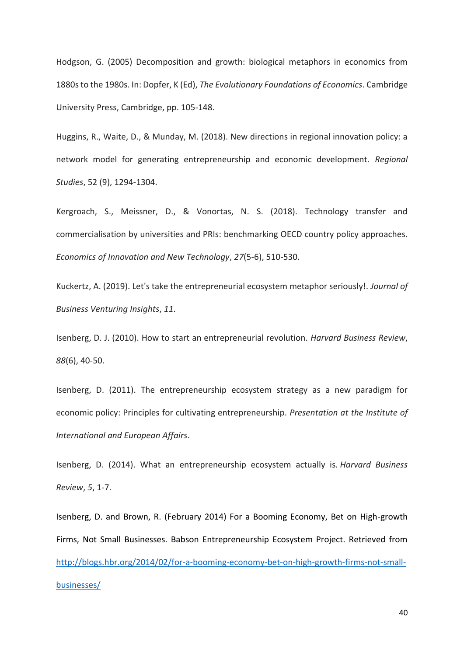Hodgson, G. (2005) Decomposition and growth: biological metaphors in economics from 1880s to the 1980s. In: Dopfer, K (Ed), *The Evolutionary Foundations of Economics*. Cambridge University Press, Cambridge, pp. 105-148.

Huggins, R., Waite, D., & Munday, M. (2018). New directions in regional innovation policy: a network model for generating entrepreneurship and economic development. *Regional Studies*, 52 (9), 1294-1304.

Kergroach, S., Meissner, D., & Vonortas, N. S. (2018). Technology transfer and commercialisation by universities and PRIs: benchmarking OECD country policy approaches. *Economics of Innovation and New Technology*, *27*(5-6), 510-530.

Kuckertz, A. (2019). Let's take the entrepreneurial ecosystem metaphor seriously!. *Journal of Business Venturing Insights*, *11*.

Isenberg, D. J. (2010). How to start an entrepreneurial revolution. *Harvard Business Review*, *88*(6), 40-50.

Isenberg, D. (2011). The entrepreneurship ecosystem strategy as a new paradigm for economic policy: Principles for cultivating entrepreneurship. *Presentation at the Institute of International and European Affairs*.

Isenberg, D. (2014). What an entrepreneurship ecosystem actually is. *Harvard Business Review*, *5*, 1-7.

Isenberg, D. and Brown, R. (February 2014) For a Booming Economy, Bet on High-growth Firms, Not Small Businesses. Babson Entrepreneurship Ecosystem Project. Retrieved from [http://blogs.hbr.org/2014/02/for-a-booming-economy-bet-on-high-growth-firms-not-small](http://blogs.hbr.org/2014/02/for-a-booming-economy-bet-on-high-growth-firms-not-small-businesses/)[businesses/](http://blogs.hbr.org/2014/02/for-a-booming-economy-bet-on-high-growth-firms-not-small-businesses/)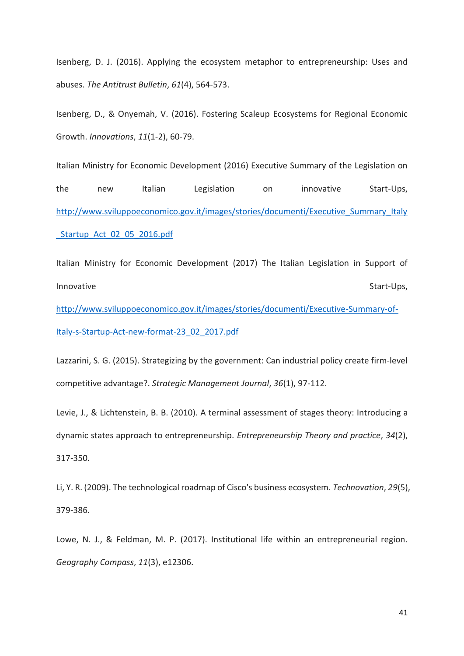Isenberg, D. J. (2016). Applying the ecosystem metaphor to entrepreneurship: Uses and abuses. *The Antitrust Bulletin*, *61*(4), 564-573.

Isenberg, D., & Onyemah, V. (2016). Fostering Scaleup Ecosystems for Regional Economic Growth. *Innovations*, *11*(1-2), 60-79.

Italian Ministry for Economic Development (2016) Executive Summary of the Legislation on the new Italian Legislation on innovative Start-Ups, [http://www.sviluppoeconomico.gov.it/images/stories/documenti/Executive\\_Summary\\_Italy](http://www.sviluppoeconomico.gov.it/images/stories/documenti/Executive_Summary_Italy_Startup_Act_02_05_2016.pdf) Startup Act 02 05 2016.pdf

Italian Ministry for Economic Development (2017) The Italian Legislation in Support of Innovative Start-Ups,

[http://www.sviluppoeconomico.gov.it/images/stories/documenti/Executive-Summary-of-](http://www.sviluppoeconomico.gov.it/images/stories/documenti/Executive-Summary-of-Italy-s-Startup-Act-new-format-23_02_2017.pdf)[Italy-s-Startup-Act-new-format-23\\_02\\_2017.pdf](http://www.sviluppoeconomico.gov.it/images/stories/documenti/Executive-Summary-of-Italy-s-Startup-Act-new-format-23_02_2017.pdf)

Lazzarini, S. G. (2015). Strategizing by the government: Can industrial policy create firm‐level competitive advantage?. *Strategic Management Journal*, *36*(1), 97-112.

Levie, J., & Lichtenstein, B. B. (2010). A terminal assessment of stages theory: Introducing a dynamic states approach to entrepreneurship. *Entrepreneurship Theory and practice*, *34*(2), 317-350.

Li, Y. R. (2009). The technological roadmap of Cisco's business ecosystem. *Technovation*, *29*(5), 379-386.

Lowe, N. J., & Feldman, M. P. (2017). Institutional life within an entrepreneurial region. *Geography Compass*, *11*(3), e12306.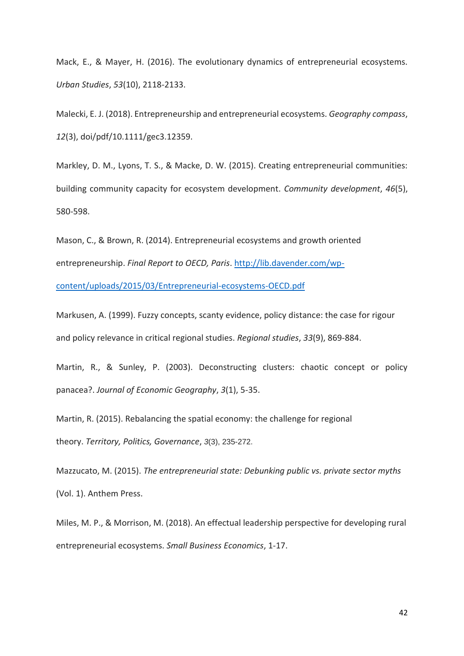Mack, E., & Mayer, H. (2016). The evolutionary dynamics of entrepreneurial ecosystems. *Urban Studies*, *53*(10), 2118-2133.

Malecki, E. J. (2018). Entrepreneurship and entrepreneurial ecosystems. *Geography compass*, *12*(3), doi/pdf/10.1111/gec3.12359.

Markley, D. M., Lyons, T. S., & Macke, D. W. (2015). Creating entrepreneurial communities: building community capacity for ecosystem development. *Community development*, *46*(5), 580-598.

Mason, C., & Brown, R. (2014). Entrepreneurial ecosystems and growth oriented entrepreneurship. *Final Report to OECD, Paris*. [http://lib.davender.com/wp-](http://lib.davender.com/wp-content/uploads/2015/03/Entrepreneurial-ecosystems-OECD.pdf)

[content/uploads/2015/03/Entrepreneurial-ecosystems-OECD.pdf](http://lib.davender.com/wp-content/uploads/2015/03/Entrepreneurial-ecosystems-OECD.pdf)

Markusen, A. (1999). Fuzzy concepts, scanty evidence, policy distance: the case for rigour and policy relevance in critical regional studies. *Regional studies*, *33*(9), 869-884.

Martin, R., & Sunley, P. (2003). Deconstructing clusters: chaotic concept or policy panacea?. *Journal of Economic Geography*, *3*(1), 5-35.

Martin, R. (2015). Rebalancing the spatial economy: the challenge for regional theory. *Territory, Politics, Governance*, *3*(3), 235-272.

Mazzucato, M. (2015). *The entrepreneurial state: Debunking public vs. private sector myths* (Vol. 1). Anthem Press.

Miles, M. P., & Morrison, M. (2018). An effectual leadership perspective for developing rural entrepreneurial ecosystems. *Small Business Economics*, 1-17.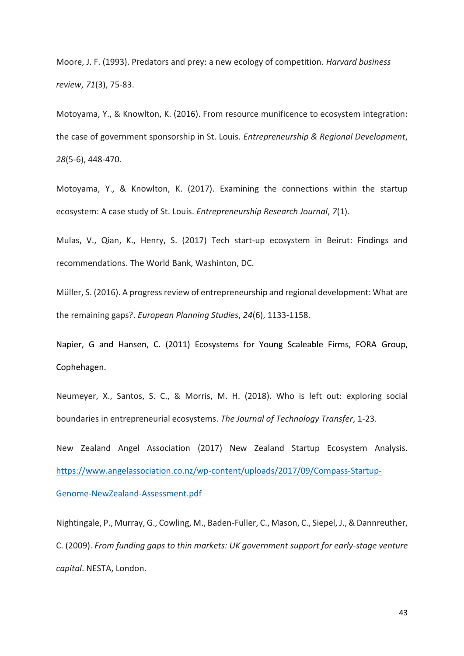Moore, J. F. (1993). Predators and prey: a new ecology of competition. *Harvard business review*, *71*(3), 75-83.

Motoyama, Y., & Knowlton, K. (2016). From resource munificence to ecosystem integration: the case of government sponsorship in St. Louis. *Entrepreneurship & Regional Development*, *28*(5-6), 448-470.

Motoyama, Y., & Knowlton, K. (2017). Examining the connections within the startup ecosystem: A case study of St. Louis. *Entrepreneurship Research Journal*, *7*(1).

Mulas, V., Qian, K., Henry, S. (2017) Tech start-up ecosystem in Beirut: Findings and recommendations. The World Bank, Washinton, DC.

Müller, S. (2016). A progress review of entrepreneurship and regional development: What are the remaining gaps?. *European Planning Studies*, *24*(6), 1133-1158.

Napier, G and Hansen, C. (2011) Ecosystems for Young Scaleable Firms, FORA Group, Cophehagen.

Neumeyer, X., Santos, S. C., & Morris, M. H. (2018). Who is left out: exploring social boundaries in entrepreneurial ecosystems. *The Journal of Technology Transfer*, 1-23.

New Zealand Angel Association (2017) New Zealand Startup Ecosystem Analysis. [https://www.angelassociation.co.nz/wp-content/uploads/2017/09/Compass-Startup-](https://www.angelassociation.co.nz/wp-content/uploads/2017/09/Compass-Startup-Genome-NewZealand-Assessment.pdf)[Genome-NewZealand-Assessment.pdf](https://www.angelassociation.co.nz/wp-content/uploads/2017/09/Compass-Startup-Genome-NewZealand-Assessment.pdf)

Nightingale, P., Murray, G., Cowling, M., Baden-Fuller, C., Mason, C., Siepel, J., & Dannreuther, C. (2009). *From funding gaps to thin markets: UK government support for early-stage venture capital*. NESTA, London.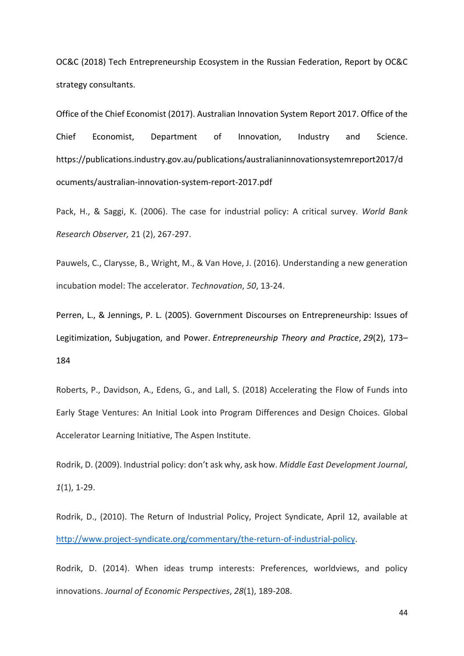OC&C (2018) Tech Entrepreneurship Ecosystem in the Russian Federation, Report by OC&C strategy consultants.

Office of the Chief Economist (2017). Australian Innovation System Report 2017. Office of the Chief Economist, Department of Innovation, Industry and Science. https://publications.industry.gov.au/publications/australianinnovationsystemreport2017/d ocuments/australian-innovation-system-report-2017.pdf

Pack, H., & Saggi, K. (2006). The case for industrial policy: A critical survey. *World Bank Research Observer,* 21 (2), 267-297.

Pauwels, C., Clarysse, B., Wright, M., & Van Hove, J. (2016). Understanding a new generation incubation model: The accelerator. *Technovation*, *50*, 13-24.

Perren, L., & Jennings, P. L. (2005). Government Discourses on Entrepreneurship: Issues of Legitimization, Subjugation, and Power. *Entrepreneurship Theory and Practice*, *29*(2), 173– 184

Roberts, P., Davidson, A., Edens, G., and Lall, S. (2018) Accelerating the Flow of Funds into Early Stage Ventures: An Initial Look into Program Differences and Design Choices. Global Accelerator Learning Initiative, The Aspen Institute.

Rodrik, D. (2009). Industrial policy: don't ask why, ask how. *Middle East Development Journal*, *1*(1), 1-29.

Rodrik, D., (2010). The Return of Industrial Policy, Project Syndicate, April 12, available at [http://www.project-syndicate.org/commentary/the-return-of-industrial-policy.](http://www.project-syndicate.org/commentary/the-return-of-industrial-policy)

Rodrik, D. (2014). When ideas trump interests: Preferences, worldviews, and policy innovations. *Journal of Economic Perspectives*, *28*(1), 189-208.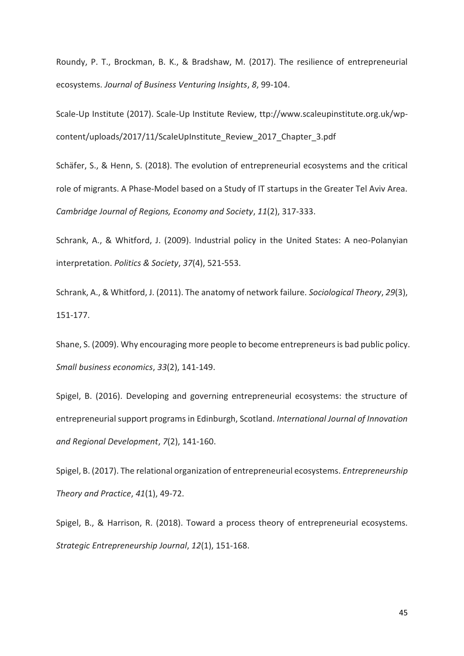Roundy, P. T., Brockman, B. K., & Bradshaw, M. (2017). The resilience of entrepreneurial ecosystems. *Journal of Business Venturing Insights*, *8*, 99-104.

Scale-Up Institute (2017). Scale-Up Institute Review, ttp://www.scaleupinstitute.org.uk/wpcontent/uploads/2017/11/ScaleUpInstitute\_Review\_2017\_Chapter\_3.pdf

Schäfer, S., & Henn, S. (2018). The evolution of entrepreneurial ecosystems and the critical role of migrants. A Phase-Model based on a Study of IT startups in the Greater Tel Aviv Area. *Cambridge Journal of Regions, Economy and Society*, *11*(2), 317-333.

Schrank, A., & Whitford, J. (2009). Industrial policy in the United States: A neo-Polanyian interpretation. *Politics & Society*, *37*(4), 521-553.

Schrank, A., & Whitford, J. (2011). The anatomy of network failure. *Sociological Theory*, *29*(3), 151-177.

Shane, S. (2009). Why encouraging more people to become entrepreneurs is bad public policy. *Small business economics*, *33*(2), 141-149.

Spigel, B. (2016). Developing and governing entrepreneurial ecosystems: the structure of entrepreneurial support programs in Edinburgh, Scotland. *International Journal of Innovation and Regional Development*, *7*(2), 141-160.

Spigel, B. (2017). The relational organization of entrepreneurial ecosystems. *Entrepreneurship Theory and Practice*, *41*(1), 49-72.

Spigel, B., & Harrison, R. (2018). Toward a process theory of entrepreneurial ecosystems. *Strategic Entrepreneurship Journal*, *12*(1), 151-168.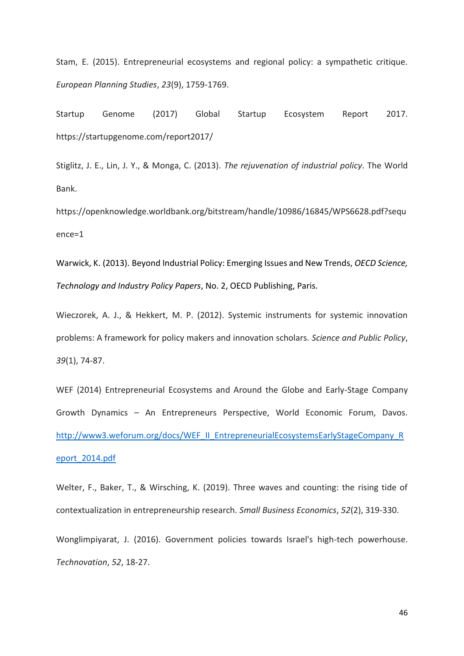Stam, E. (2015). Entrepreneurial ecosystems and regional policy: a sympathetic critique. *European Planning Studies*, *23*(9), 1759-1769.

Startup Genome (2017) Global Startup Ecosystem Report 2017. https://startupgenome.com/report2017/

Stiglitz, J. E., Lin, J. Y., & Monga, C. (2013). *The rejuvenation of industrial policy*. The World Bank.

https://openknowledge.worldbank.org/bitstream/handle/10986/16845/WPS6628.pdf?sequ ence=1

Warwick, K. (2013). Beyond Industrial Policy: Emerging Issues and New Trends, *OECD Science, Technology and Industry Policy Papers*, No. 2, OECD Publishing, Paris.

Wieczorek, A. J., & Hekkert, M. P. (2012). Systemic instruments for systemic innovation problems: A framework for policy makers and innovation scholars. *Science and Public Policy*, *39*(1), 74-87.

WEF (2014) Entrepreneurial Ecosystems and Around the Globe and Early-Stage Company Growth Dynamics – An Entrepreneurs Perspective, World Economic Forum, Davos. [http://www3.weforum.org/docs/WEF\\_II\\_EntrepreneurialEcosystemsEarlyStageCompany\\_R](http://www3.weforum.org/docs/WEF_II_EntrepreneurialEcosystemsEarlyStageCompany_Report_2014.pdf) [eport\\_2014.pdf](http://www3.weforum.org/docs/WEF_II_EntrepreneurialEcosystemsEarlyStageCompany_Report_2014.pdf)

Welter, F., Baker, T., & Wirsching, K. (2019). Three waves and counting: the rising tide of contextualization in entrepreneurship research. *Small Business Economics*, *52*(2), 319-330.

Wonglimpiyarat, J. (2016). Government policies towards Israel's high-tech powerhouse. *Technovation*, *52*, 18-27.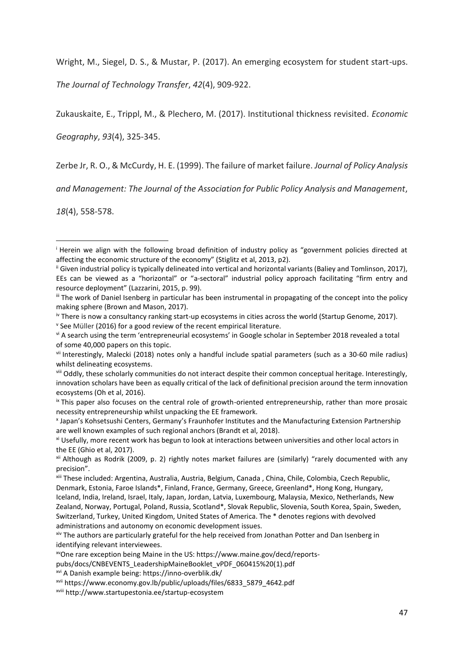Wright, M., Siegel, D. S., & Mustar, P. (2017). An emerging ecosystem for student start-ups.

*The Journal of Technology Transfer*, *42*(4), 909-922.

Zukauskaite, E., Trippl, M., & Plechero, M. (2017). Institutional thickness revisited. *Economic* 

*Geography*, *93*(4), 325-345.

Zerbe Jr, R. O., & McCurdy, H. E. (1999). The failure of market failure. *Journal of Policy Analysis* 

*and Management: The Journal of the Association for Public Policy Analysis and Management*,

*18*(4), 558-578.

1

pubs/docs/CNBEVENTS\_LeadershipMaineBooklet\_vPDF\_060415%20(1).pdf

<sup>i</sup> Herein we align with the following broad definition of industry policy as "government policies directed at affecting the economic structure of the economy" (Stiglitz et al, 2013, p2).

ii Given industrial policy is typically delineated into vertical and horizontal variants (Baliey and Tomlinson, 2017), EEs can be viewed as a "horizontal" or "a-sectoral" industrial policy approach facilitating "firm entry and resource deployment" (Lazzarini, 2015, p. 99).

iii The work of Daniel Isenberg in particular has been instrumental in propagating of the concept into the policy making sphere (Brown and Mason, 2017).

iv There is now a consultancy ranking start-up ecosystems in cities across the world (Startup Genome, 2017).

<sup>&</sup>lt;sup>v</sup> See Müller (2016) for a good review of the recent empirical literature.

vi A search using the term 'entrepreneurial ecosystems' in Google scholar in September 2018 revealed a total of some 40,000 papers on this topic.

vii Interestingly, Malecki (2018) notes only a handful include spatial parameters (such as a 30-60 mile radius) whilst delineating ecosystems.

viii Oddly, these scholarly communities do not interact despite their common conceptual heritage. Interestingly, innovation scholars have been as equally critical of the lack of definitional precision around the term innovation ecosystems (Oh et al, 2016).

ix This paper also focuses on the central role of growth-oriented entrepreneurship, rather than more prosaic necessity entrepreneurship whilst unpacking the EE framework.

x Japan's Kohsetsushi Centers, Germany's Fraunhofer Institutes and the Manufacturing Extension Partnership are well known examples of such regional anchors (Brandt et al, 2018).

xi Usefully, more recent work has begun to look at interactions between universities and other local actors in the EE (Ghio et al, 2017).

xii Although as Rodrik (2009, p. 2) rightly notes market failures are (similarly) "rarely documented with any precision".

xiii These included: Argentina, Australia, Austria, Belgium, Canada , China, Chile, Colombia, Czech Republic, Denmark, Estonia, Faroe Islands\*, Finland, France, Germany, Greece, Greenland\*, Hong Kong, Hungary, Iceland, India, Ireland, Israel, Italy, Japan, Jordan, Latvia, Luxembourg, Malaysia, Mexico, Netherlands, New Zealand, Norway, Portugal, Poland, Russia, Scotland\*, Slovak Republic, Slovenia, South Korea, Spain, Sweden, Switzerland, Turkey, United Kingdom, United States of America. The \* denotes regions with devolved administrations and autonomy on economic development issues.

xiv The authors are particularly grateful for the help received from Jonathan Potter and Dan Isenberg in identifying relevant interviewees.

xvOne rare exception being Maine in the US: https://www.maine.gov/decd/reports-

xvi A Danish example being: https://inno-overblik.dk/

xvii https://www.economy.gov.lb/public/uploads/files/6833\_5879\_4642.pdf

xviii http://www.startupestonia.ee/startup-ecosystem